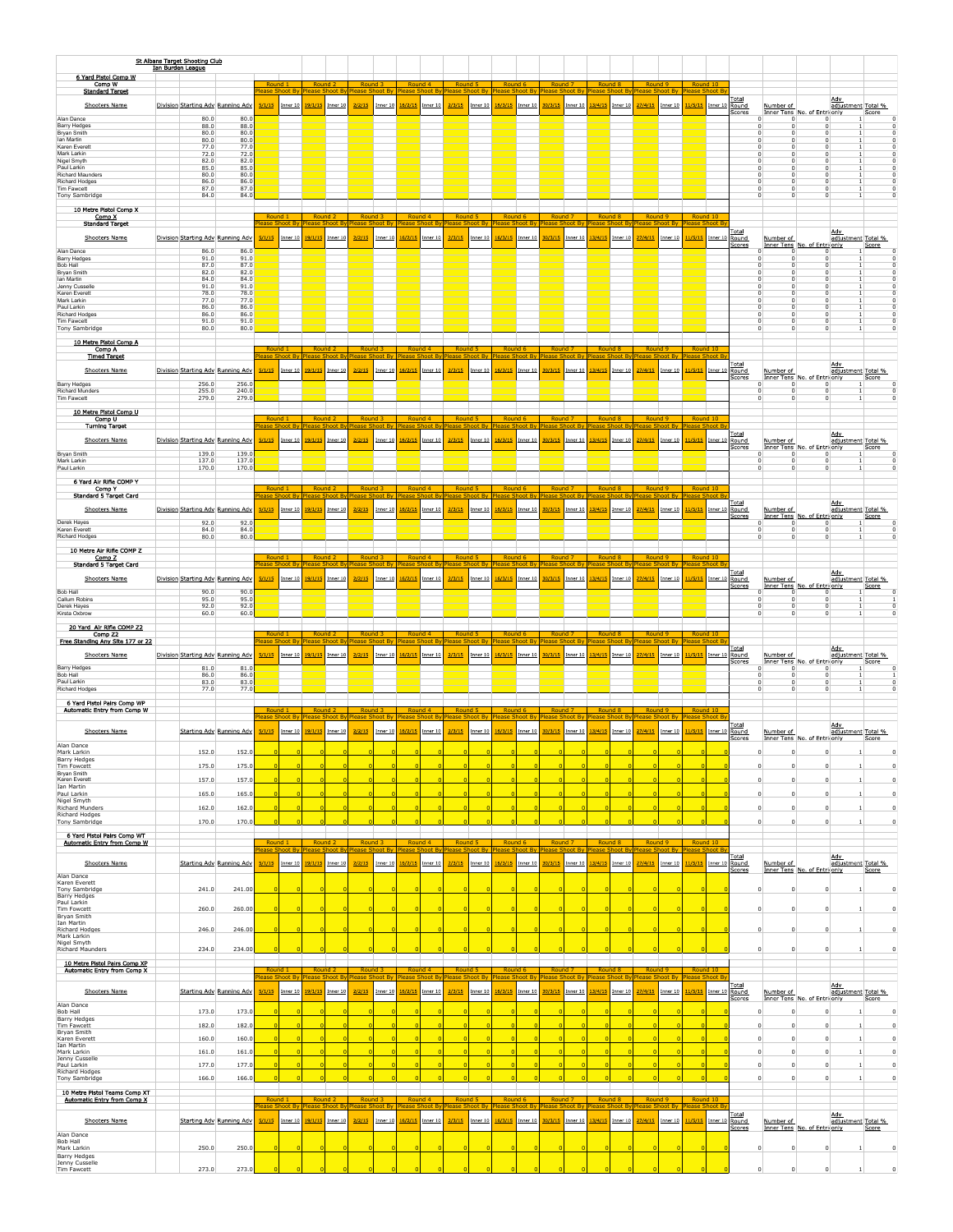|                                                              | St Albans Target Shooting Club |                                   |                        |                     |                                    |                    |                                                                                                                                                                                                                |            |                                   |                        |                           |                     |                    |                     |                    |                                                |                    |            |                    |                     |                    |                |                          |             |                                                 |                                  |             |
|--------------------------------------------------------------|--------------------------------|-----------------------------------|------------------------|---------------------|------------------------------------|--------------------|----------------------------------------------------------------------------------------------------------------------------------------------------------------------------------------------------------------|------------|-----------------------------------|------------------------|---------------------------|---------------------|--------------------|---------------------|--------------------|------------------------------------------------|--------------------|------------|--------------------|---------------------|--------------------|----------------|--------------------------|-------------|-------------------------------------------------|----------------------------------|-------------|
| 6 Yard Pistol Comp W                                         | Ian Burden League              |                                   |                        |                     |                                    |                    |                                                                                                                                                                                                                |            |                                   |                        |                           |                     |                    |                     |                    |                                                |                    |            |                    |                     |                    |                |                          |             |                                                 |                                  |             |
| Comp W<br><b>Standard Target</b>                             |                                |                                   |                        |                     | Round                              |                    |                                                                                                                                                                                                                |            |                                   |                        |                           |                     |                    |                     |                    |                                                |                    |            |                    |                     | Round 1<br>lease   |                |                          |             |                                                 |                                  |             |
| Shooters Name                                                |                                | Division Starting Adv Running Adv | 5/1/15                 | Inner 10            | 19/1/1                             | Inner 10           | 2/2/15                                                                                                                                                                                                         | nner 10    | 6/2/15                            | Inner <sub>10</sub>    | 2/3/15                    | Inner 10            | 16/3/15            | Inner 10            | 30/3/1             | Inner $10$                                     | 13/4/15            | Inner 10   | 27/4/15            | Inner 10            | 11/5/15            | Inner 10 Round | <u>Total</u>             | Number of   |                                                 | <u>Adv</u><br>adjustment Total % |             |
| Alan Dance                                                   | 80.0                           | 80.0                              |                        |                     |                                    |                    |                                                                                                                                                                                                                |            |                                   |                        |                           |                     |                    |                     |                    |                                                |                    |            |                    |                     |                    |                | scores                   |             | Inner Tens No. of Entri only                    |                                  | Score       |
| <b>Barry Hedges</b><br>Bryan Smith                           | 88.0<br>80.0                   | 88.0<br>80.0                      |                        |                     |                                    |                    |                                                                                                                                                                                                                |            |                                   |                        |                           |                     |                    |                     |                    |                                                |                    |            |                    |                     |                    |                |                          |             |                                                 |                                  |             |
| lan Martin<br>Karen Everet                                   | 80.0<br>77.0                   | 80.0<br>77.0                      |                        |                     |                                    |                    |                                                                                                                                                                                                                |            |                                   |                        |                           |                     |                    |                     |                    |                                                |                    |            |                    |                     |                    |                |                          |             |                                                 |                                  |             |
| Mark Larkin<br>Nigel Smyth                                   | 72.0<br>82.0                   | 72.0<br>82.0                      |                        |                     |                                    |                    |                                                                                                                                                                                                                |            |                                   |                        |                           |                     |                    |                     |                    |                                                |                    |            |                    |                     |                    |                |                          |             |                                                 |                                  |             |
| Paul Larkin<br>Richard Maunders                              | 85.0<br>80.0                   | 85.0<br>80.0                      |                        |                     |                                    |                    |                                                                                                                                                                                                                |            |                                   |                        |                           |                     |                    |                     |                    |                                                |                    |            |                    |                     |                    |                |                          |             |                                                 |                                  |             |
| Richard Hodges                                               | 86.0                           | 86.0                              |                        |                     |                                    |                    |                                                                                                                                                                                                                |            |                                   |                        |                           |                     |                    |                     |                    |                                                |                    |            |                    |                     |                    |                |                          |             |                                                 |                                  |             |
| Tim Fawcett<br>Tony Sambridge                                | 87.0<br>84.0                   | 87.0<br>84.0                      |                        |                     |                                    |                    |                                                                                                                                                                                                                |            |                                   |                        |                           |                     |                    |                     |                    |                                                |                    |            |                    |                     |                    |                |                          |             |                                                 |                                  |             |
| 10 Metre Pistol Comp X                                       |                                |                                   |                        |                     |                                    |                    |                                                                                                                                                                                                                |            |                                   |                        |                           |                     |                    |                     |                    |                                                |                    |            |                    |                     |                    |                |                          |             |                                                 |                                  |             |
| Comp X<br><b>Standard Target</b>                             |                                |                                   |                        | Round 1             | Round <sub>2</sub><br>lease        |                    | Round<br>Please                                                                                                                                                                                                |            | Round<br><u>lease</u>             |                        | Round !<br><b>lease</b>   | ot B                | Round (<br>lease   |                     | Round<br>Please    |                                                | <u>lease</u>       |            | Round<br>ease :    |                     | Round 10<br>lease  |                |                          |             |                                                 |                                  |             |
| Shooters Name                                                |                                | Division Starting Adv Running Adv | 5/1/15                 | Inner 1             |                                    | Inner 1            | 2/2/15                                                                                                                                                                                                         | Inner 10   | 6/2/15                            | Inner 10               | 2/3/15                    | Inner <sub>10</sub> | 16/3/15            | Inner 1             | 30/3/1             | Inner 10                                       | 3/4/1              | Inner $10$ | 27/4/15            | Inner <sub>10</sub> | 1/5/15             | Inner 10       | Total<br>Round           | Number of   |                                                 | Adv<br>adjustment Total %        |             |
| Alan Dance                                                   | 86.0                           | 86.0                              |                        |                     |                                    |                    |                                                                                                                                                                                                                |            |                                   |                        |                           |                     |                    |                     |                    |                                                |                    |            |                    |                     |                    |                | cores                    |             | Inner Tens No. of Entri only<br>0               |                                  | Score       |
| <b>Barry Hedges</b><br>Bob Hall                              | 91.0<br>87.0                   | 91.0<br>87.0                      |                        |                     |                                    |                    |                                                                                                                                                                                                                |            |                                   |                        |                           |                     |                    |                     |                    |                                                |                    |            |                    |                     |                    |                |                          |             |                                                 |                                  |             |
| Bryan Smith                                                  | 82.0                           | 82.0                              |                        |                     |                                    |                    |                                                                                                                                                                                                                |            |                                   |                        |                           |                     |                    |                     |                    |                                                |                    |            |                    |                     |                    |                |                          |             |                                                 |                                  |             |
| lan Martin<br>Jenny Cusselle                                 | 84.0<br>91.0                   | 84.0<br>91.0                      |                        |                     |                                    |                    |                                                                                                                                                                                                                |            |                                   |                        |                           |                     |                    |                     |                    |                                                |                    |            |                    |                     |                    |                |                          |             |                                                 |                                  |             |
| Karen Everett<br>Mark Larkin                                 | 78.0<br>77.0                   | 78.0<br>77.0                      |                        |                     |                                    |                    |                                                                                                                                                                                                                |            |                                   |                        |                           |                     |                    |                     |                    |                                                |                    |            |                    |                     |                    |                |                          |             |                                                 |                                  |             |
| Paul Larkin<br>Richard Hodges                                | 86.0<br>86.0                   | 86.0<br>86.0                      |                        |                     |                                    |                    |                                                                                                                                                                                                                |            |                                   |                        |                           |                     |                    |                     |                    |                                                |                    |            |                    |                     |                    |                |                          |             |                                                 |                                  |             |
| Tim Fawcett<br>Tony Sambridge                                | 91.0<br>80.0                   | 91.0<br>80.0                      |                        |                     |                                    |                    |                                                                                                                                                                                                                |            |                                   |                        |                           |                     |                    |                     |                    |                                                |                    |            |                    |                     |                    |                |                          |             |                                                 |                                  |             |
|                                                              |                                |                                   |                        |                     |                                    |                    |                                                                                                                                                                                                                |            |                                   |                        |                           |                     |                    |                     |                    |                                                |                    |            |                    |                     |                    |                |                          |             |                                                 |                                  |             |
| 10 Metre Pistol Comp A<br>Comp A                             |                                |                                   |                        |                     |                                    |                    |                                                                                                                                                                                                                |            |                                   |                        |                           |                     |                    |                     |                    |                                                |                    |            |                    |                     |                    |                |                          |             |                                                 |                                  |             |
| <b>Timed Target</b>                                          |                                |                                   |                        |                     |                                    |                    |                                                                                                                                                                                                                |            |                                   |                        |                           |                     |                    |                     |                    |                                                |                    |            |                    |                     |                    |                | Total                    |             |                                                 | Adv                              |             |
| Shooters Name                                                |                                | Division Starting Adv Running Adv | 5/1/15                 | Inner 10            | 19/1/1                             | Inner10            | 2/2/15                                                                                                                                                                                                         | Inner $10$ | 6/2/15                            | Inner 10               | 2/3/15                    | Inner 10            | 16/3/15            | Inner 10            | 30/3/15            | $Inner_10$                                     | 13/4/15            | Inner $10$ | 27/4/15            | Inner 10            | 11/5/15            | Inner 10 Round | <b>Scores</b>            | Number of   | Inner Tens No. of Entri only                    | adjustment Total %               | Score       |
| Barry Hedges<br>Richard Munders                              | 256.0<br>255.0                 | 256.<br>240.0                     |                        |                     |                                    |                    |                                                                                                                                                                                                                |            |                                   |                        |                           |                     |                    |                     |                    |                                                |                    |            |                    |                     |                    |                |                          |             | 0<br>n                                          |                                  |             |
| Tim Fawcett                                                  | 279.0                          | 279.                              |                        |                     |                                    |                    |                                                                                                                                                                                                                |            |                                   |                        |                           |                     |                    |                     |                    |                                                |                    |            |                    |                     |                    |                |                          |             |                                                 |                                  |             |
| 10 Metre Pistol Comp U                                       |                                |                                   |                        |                     |                                    |                    |                                                                                                                                                                                                                |            |                                   |                        |                           |                     |                    |                     |                    |                                                |                    |            |                    |                     |                    |                |                          |             |                                                 |                                  |             |
| Comp U<br><b>Turning Target</b>                              |                                |                                   |                        |                     |                                    |                    |                                                                                                                                                                                                                |            |                                   |                        |                           | ot By               |                    |                     |                    | ont By                                         |                    |            |                    |                     |                    |                |                          |             |                                                 |                                  |             |
| Shooters Name                                                |                                | Division Starting Adv Running Adv | 5/1/15                 | Inner 10            | 19/1/1                             | Inner 10           | 2/2/15                                                                                                                                                                                                         | Inner 10   | 6/2/15                            | Inner 10               | 2/3/15                    | Inner 10            | 16/3/15            | Inner 1             | 30/3/15            | Inner 10                                       | 3/4/1!             | Inner $10$ | 27/4/15            | Inner 10            | 1/5/15             |                | Total<br>Inner 10 Round  | Number of   |                                                 | <b>Adv</b><br>adjustment Total % |             |
| <b>Brvan Smith</b>                                           | 139.0                          | 139.                              |                        |                     |                                    |                    |                                                                                                                                                                                                                |            |                                   |                        |                           |                     |                    |                     |                    |                                                |                    |            |                    |                     |                    |                | cores                    | n           | Inner Tens No. of Entri only<br>0               |                                  | Score       |
| Mark Larkin<br>Paul Larkin                                   | 137.0<br>170.0                 | 137.0<br>170.0                    |                        |                     |                                    |                    |                                                                                                                                                                                                                |            |                                   |                        |                           |                     |                    |                     |                    |                                                |                    |            |                    |                     |                    |                |                          |             | $^{\circ}$                                      |                                  |             |
|                                                              |                                |                                   |                        |                     |                                    |                    |                                                                                                                                                                                                                |            |                                   |                        |                           |                     |                    |                     |                    |                                                |                    |            |                    |                     |                    |                |                          |             |                                                 |                                  |             |
| 6 Yard Air Rifle COMP Y<br>Comp Y                            |                                |                                   |                        |                     |                                    |                    |                                                                                                                                                                                                                |            |                                   |                        |                           |                     |                    |                     |                    |                                                |                    |            |                    |                     |                    |                |                          |             |                                                 |                                  |             |
| Standard 5 Target Card                                       |                                |                                   |                        |                     |                                    | iont B             |                                                                                                                                                                                                                |            |                                   |                        |                           |                     |                    |                     |                    |                                                |                    |            |                    |                     |                    |                | <u>rotal</u>             |             |                                                 | Adv                              |             |
| <b>Shooters Name</b>                                         |                                | Division Starting Adv Running Adv | 5/1/15                 | Inner 10            | 19/1/1                             | Inner 10           | 2/2/15                                                                                                                                                                                                         | Inner 10   | 6/2/15                            | Inner 10               | 2/3/15                    | Inner 10            | 16/3/15            | Inner 10            | 30/3/1             | Inner 10                                       | 13/4/15            | Inner 10   | 27/4/15            | Inner 10            | 11/5/15            | Inner 10 Round | cores                    | Number of   | Inner Tens No. of Entrionly                     | adjustment Total %               | Score       |
| Derek Hayes<br>Karen Everett                                 | 92.0<br>84.0                   | 92.0<br>84.0                      |                        |                     |                                    |                    |                                                                                                                                                                                                                |            |                                   |                        |                           |                     |                    |                     |                    |                                                |                    |            |                    |                     |                    |                |                          |             | 0                                               |                                  |             |
| <b>Richard Hodges</b>                                        | 80.0                           | 80.0                              |                        |                     |                                    |                    |                                                                                                                                                                                                                |            |                                   |                        |                           |                     |                    |                     |                    |                                                |                    |            |                    |                     |                    |                |                          |             |                                                 |                                  |             |
| 10 Metre Air Rifle COMP Z                                    |                                |                                   |                        |                     |                                    |                    |                                                                                                                                                                                                                |            |                                   |                        |                           |                     |                    |                     |                    |                                                |                    |            |                    |                     |                    |                |                          |             |                                                 |                                  |             |
| Comp Z<br><b>Standard 5 Target Card</b>                      |                                |                                   |                        | Round 1             |                                    | Round <sub>2</sub> | Round                                                                                                                                                                                                          |            | Round 4                           |                        | Round                     |                     | Round 6            |                     | Round <sub>7</sub> |                                                | Round <sub>8</sub> |            | Round <sub>9</sub> |                     | Round 10           |                |                          |             |                                                 |                                  |             |
| Shooters Name                                                |                                | Division Starting Adv Running Adv | 5/1/15                 | Inner 1             |                                    | Inner 1            | 2/2/15                                                                                                                                                                                                         | nner 10    | 6/2/1!                            | Inner 10               | 2/3/15                    | Inner <sub>10</sub> | 16/3/1             | Inner 1             | 30/3/1             | Inner 10                                       | 3/4/1              | nner 10    | 27/4/13            | Inner <sub>10</sub> | 1/5/15             |                | Total<br>Inner 10 Round  | Number of   |                                                 | Adv<br>adjustment Total %        |             |
| Bob Hall                                                     | 90.0                           | 90.0                              |                        |                     |                                    |                    |                                                                                                                                                                                                                |            |                                   |                        |                           |                     |                    |                     |                    |                                                |                    |            |                    |                     |                    |                | Scores                   | $\Omega$    | Inner Tens No. of Entri only<br>0               |                                  | Score       |
| Callum Robins<br>Derek Hayes                                 | 95.0<br>92.0                   | 95.0<br>92.0                      |                        |                     |                                    |                    |                                                                                                                                                                                                                |            |                                   |                        |                           |                     |                    |                     |                    |                                                |                    |            |                    |                     |                    |                |                          |             |                                                 |                                  |             |
| Kirsta Oxbrow                                                | 60.0                           | 60.0                              |                        |                     |                                    |                    |                                                                                                                                                                                                                |            |                                   |                        |                           |                     |                    |                     |                    |                                                |                    |            |                    |                     |                    |                |                          |             |                                                 |                                  |             |
|                                                              |                                |                                   |                        |                     |                                    |                    |                                                                                                                                                                                                                |            |                                   |                        |                           |                     |                    |                     |                    |                                                |                    |            |                    |                     |                    |                |                          |             |                                                 |                                  |             |
| 20 Yard Air Rifle COMP Z2                                    |                                |                                   |                        |                     |                                    |                    |                                                                                                                                                                                                                |            |                                   |                        |                           |                     |                    |                     |                    |                                                |                    |            |                    |                     |                    |                |                          |             |                                                 |                                  |             |
| Comp Z2<br>Free Standing Any Site 177 or 22                  |                                |                                   | Round <sub>1</sub>     |                     | Round                              |                    |                                                                                                                                                                                                                |            | Rou                               |                        | Rou<br>ease               |                     | -Ro                |                     | <b>Roun</b>        |                                                |                    |            | Rou                |                     | Rou<br>lease       |                |                          |             |                                                 |                                  |             |
| <b>Shooters Name</b>                                         |                                | Division Starting Adv Running Adv | 5/1/15                 | Inner 10            | 19/1/1!                            | Inner 10           | 2/2/15                                                                                                                                                                                                         | Inner 10   | 6/2/15                            | Inner 10               | 2/3/15                    | Inner 10            | 16/3/15            | Inner 1             | 30/3/1             | Inner 10                                       | 13/4/15            | Inner $10$ | 27/4/15            | Inner 10            | 1/5/15             |                | Total                    | Number of   |                                                 | Adv                              |             |
|                                                              | 81.0                           | 81.0                              |                        |                     |                                    |                    |                                                                                                                                                                                                                |            |                                   |                        |                           |                     |                    |                     |                    |                                                |                    |            |                    |                     |                    | Inner 10 Round | Scores                   |             | Inner Tens No. of Entri only<br>$^{\circ}$<br>n | adjustment Total %               | Score       |
| <b>Barry Hedges</b><br>Bob Hall<br>Paul Larkin               | 86.0<br>83.0                   | 86.0<br>83.0                      |                        |                     |                                    |                    |                                                                                                                                                                                                                |            |                                   |                        |                           |                     |                    |                     |                    |                                                |                    |            |                    |                     |                    |                |                          |             | $^{\circ}$<br>n<br>$^{\circ}$<br>n              |                                  |             |
| Richard Hodges                                               | 77.0                           | 77.0                              |                        |                     |                                    |                    |                                                                                                                                                                                                                |            |                                   |                        |                           |                     |                    |                     |                    |                                                |                    |            |                    |                     |                    |                |                          |             | $\Omega$                                        |                                  |             |
| 6 Yard Pistol Pairs Comp WP                                  |                                |                                   |                        |                     |                                    |                    |                                                                                                                                                                                                                |            |                                   |                        |                           |                     |                    |                     |                    |                                                |                    |            |                    |                     |                    |                |                          |             |                                                 |                                  |             |
| Automatic Entry from Comp W                                  |                                |                                   | Round 1<br><b>A2R4</b> |                     | Round <sub>2</sub><br><b>lease</b> | shoot By           | Round <sub>3</sub><br>Please Shoot By                                                                                                                                                                          |            | Round 4<br><b>Please Shoot By</b> |                        | Round 5<br>lease Shoot By |                     | Round <sub>6</sub> |                     | Round <sub>7</sub> | lease Shoot By Please Shoot By Please Shoot By | Round <sub>8</sub> |            | Round <sub>9</sub> | ease Shoot By       | Round 10<br>Please |                |                          |             |                                                 |                                  |             |
| Shooters Name                                                |                                | Starting Adv Running Adv          | 5/1/15                 | Inner 10            | 19/1/1                             | Inner 10           | 2/2/15                                                                                                                                                                                                         | Inner 10   | .6/2/15                           | Inner 10               | 2/3/15                    | Inner 10            | 16/3/15            | Inner 10            | 30/3/15            | Inner 10                                       | 13/4/15            | Inner 10   | 27/4/15            | Inner 10            | 11/5/15            | Inner 10 Round | <b>Total</b>             | Number of   |                                                 | Adv                              |             |
| Alan Dance                                                   |                                |                                   |                        |                     |                                    |                    |                                                                                                                                                                                                                |            |                                   |                        |                           |                     |                    |                     |                    |                                                |                    |            |                    |                     |                    |                | Scores                   |             | Inner Tens No. of Entri only                    | adjustment Total %               | Score       |
| Mark Larkin                                                  | 152.0                          | 152.                              |                        |                     |                                    |                    |                                                                                                                                                                                                                |            |                                   |                        |                           |                     |                    |                     |                    |                                                |                    |            |                    |                     |                    |                |                          |             |                                                 |                                  |             |
| <b>Barry Hedges</b><br>Tim Fowcett<br><b>Brvan Smith</b>     | 175.0                          | 175.0                             |                        |                     |                                    |                    |                                                                                                                                                                                                                |            |                                   |                        |                           |                     |                    |                     |                    |                                                |                    |            |                    |                     |                    |                |                          |             |                                                 |                                  |             |
| Karen Everett                                                | 157.0                          | 157.0                             |                        |                     |                                    |                    |                                                                                                                                                                                                                |            |                                   |                        |                           |                     |                    |                     |                    |                                                |                    |            |                    |                     |                    |                |                          |             |                                                 |                                  | $^{\circ}$  |
| Ian Martin<br>Paul Larkin                                    | 165.0                          | 165.0                             |                        |                     |                                    |                    |                                                                                                                                                                                                                |            |                                   |                        |                           |                     |                    |                     |                    |                                                |                    |            |                    |                     |                    |                |                          |             | $^{\circ}$                                      |                                  | $\bf{0}$    |
| Nigel Smyth<br><b>Richard Munders</b>                        | 162.0                          | 162.0                             |                        |                     |                                    |                    |                                                                                                                                                                                                                |            |                                   |                        |                           |                     |                    |                     |                    |                                                |                    |            |                    |                     |                    |                |                          |             | $^{\circ}$                                      |                                  | $\bf{0}$    |
| <b>Richard Hodoes</b><br>Tony Sambridge                      | 170.0                          | 170.0                             |                        |                     |                                    |                    |                                                                                                                                                                                                                |            |                                   |                        |                           |                     |                    |                     |                    |                                                |                    |            |                    |                     |                    |                |                          |             | $^{\circ}$                                      |                                  | $\bf{0}$    |
| 6 Yard Pistol Pairs Comp WT                                  |                                |                                   |                        |                     |                                    |                    |                                                                                                                                                                                                                |            |                                   |                        |                           |                     |                    |                     |                    |                                                |                    |            |                    |                     |                    |                |                          |             |                                                 |                                  |             |
| Automatic Entry from Comp W                                  |                                |                                   | Round:                 |                     | Round.                             |                    |                                                                                                                                                                                                                |            |                                   |                        |                           |                     |                    |                     |                    |                                                |                    |            |                    |                     |                    |                |                          |             |                                                 |                                  |             |
|                                                              |                                |                                   |                        |                     |                                    |                    |                                                                                                                                                                                                                |            |                                   |                        |                           |                     |                    |                     |                    |                                                |                    |            |                    |                     |                    |                | Total                    |             |                                                 | Adv                              |             |
| Shooters Name                                                |                                | Starting Adv Running Adv          | 5/1/15                 | Inner 10            | 19/1/1                             | Inner 10           | 2/2/15                                                                                                                                                                                                         | Inner $10$ | 16/2/15                           | Inner 10               | 2/3/15                    | $Inner_10$          | 16/3/15            | Inner 10            | 30/3/1             | $Inner_10$                                     | 3/4/1              | Inner $10$ | 27/4/15            | Inner 10            | 1/5/15             |                | Inner 10 Round<br>Scores | Number of   | Inner Tens No. of Entri only                    | adjustment Total %               | Score       |
| Alan Dance<br>Karen Everett                                  |                                |                                   |                        |                     |                                    |                    |                                                                                                                                                                                                                |            |                                   |                        |                           |                     |                    |                     |                    |                                                |                    |            |                    |                     |                    |                |                          |             |                                                 |                                  |             |
| <b>Tony Sambridge</b><br><b>Barry Hedges</b>                 | 241.0                          | 241.00                            |                        |                     |                                    |                    |                                                                                                                                                                                                                |            |                                   |                        |                           |                     |                    |                     |                    |                                                |                    |            |                    |                     |                    |                |                          | $\Omega$    | $\Omega$                                        |                                  | 0           |
| Paul Larkin<br><b>Tim Fowcett</b>                            | 260.0                          | 260.00                            |                        |                     |                                    |                    |                                                                                                                                                                                                                |            |                                   |                        |                           |                     |                    |                     |                    |                                                |                    |            |                    |                     |                    |                |                          |             |                                                 |                                  |             |
| Bryan Smith<br>Ian Martin                                    |                                |                                   |                        |                     |                                    |                    |                                                                                                                                                                                                                |            |                                   |                        |                           |                     |                    |                     |                    |                                                |                    |            |                    |                     |                    |                |                          |             |                                                 |                                  |             |
| <b>Richard Hodges</b><br>Mark Larkin                         | 246.0                          | 246.00                            |                        |                     |                                    |                    |                                                                                                                                                                                                                |            |                                   |                        |                           |                     |                    |                     |                    |                                                |                    |            |                    |                     |                    |                |                          |             |                                                 |                                  |             |
| Nigel Smyth<br><b>Richard Maunders</b>                       | 234.0                          | 234.00                            |                        |                     |                                    |                    |                                                                                                                                                                                                                |            |                                   |                        |                           |                     |                    |                     |                    |                                                |                    |            |                    |                     |                    |                |                          |             |                                                 |                                  |             |
| 10 Metre Pistol Pairs Comp XP                                |                                |                                   |                        |                     |                                    |                    |                                                                                                                                                                                                                |            |                                   |                        |                           |                     |                    |                     |                    |                                                |                    |            |                    |                     |                    |                |                          |             |                                                 |                                  |             |
| Automatic Entry from Comp X                                  |                                |                                   |                        | Round 1             | Round <sub>2</sub>                 |                    | Round                                                                                                                                                                                                          |            | Round 4                           |                        | Round 5                   |                     | Round 6            |                     | Round              |                                                | <b>ROL</b>         |            | <b>ROU</b>         |                     | Round 10           |                |                          |             |                                                 |                                  |             |
|                                                              |                                |                                   |                        |                     | Please                             |                    | oot By Please Shoot By                                                                                                                                                                                         |            |                                   | <b>Please Shoot By</b> | <b>lease S</b>            | oot By              |                    |                     |                    | Please Shoot By Please Shoot By Please SI      |                    |            | lease Sh           |                     | Please             |                | Total                    |             |                                                 | Adv                              |             |
| Shooters Name                                                |                                | Starting Adv Running Adv          | 5/1/15                 | Inner <sub>10</sub> |                                    | Inner 10           | 2/2/15                                                                                                                                                                                                         | Inner 10   |                                   | Inner <sub>10</sub>    | 2/3/15                    | $Inner_10$          | 16/3/15            | Inner <sub>10</sub> | 30/3/1             | Inner 10                                       | 3/4/1              | Inner $10$ | 7/4/15             | Inner 10            | 1/5/15             |                | Inner 10 Round<br>Scores | Number of   | Inner Tens No. of Entri only                    | adjustment Total %               | Score       |
| Alan Dance<br>Bob Hall                                       | 173.0                          | 173.0                             |                        |                     |                                    |                    |                                                                                                                                                                                                                |            |                                   |                        |                           |                     |                    |                     |                    |                                                |                    |            |                    |                     |                    |                |                          | $\Omega$    |                                                 |                                  | $\mathbf 0$ |
| <b>Barry Hedges</b><br>Tim Fawcett                           | 182.0                          | 182.0                             |                        |                     |                                    |                    |                                                                                                                                                                                                                |            |                                   |                        |                           |                     |                    |                     |                    |                                                |                    |            |                    |                     |                    |                |                          | $\Omega$    | $^{\circ}$                                      |                                  | $\mathbf 0$ |
| <b>Brvan Smith</b><br>Karen Everett                          | 160.0                          | 160.0                             |                        |                     |                                    |                    |                                                                                                                                                                                                                |            |                                   |                        |                           |                     |                    |                     |                    |                                                |                    |            |                    |                     |                    |                |                          | $\mathbf 0$ | $^{\circ}$                                      |                                  | $\mathbf 0$ |
| Ian Martin                                                   |                                |                                   |                        |                     |                                    |                    |                                                                                                                                                                                                                |            |                                   |                        |                           |                     |                    |                     |                    |                                                |                    |            |                    |                     |                    |                |                          |             | $^{\circ}$                                      |                                  | $\mathbf 0$ |
| Mark Larkin<br>Jenny Cusselle<br>Paul Larkin                 | 161.0                          | 161.0                             |                        |                     |                                    |                    |                                                                                                                                                                                                                |            |                                   |                        |                           |                     |                    |                     |                    |                                                |                    |            |                    |                     |                    |                |                          |             | $\Omega$                                        |                                  |             |
| <b>Richard Hodges</b>                                        | 177.0                          | 177.0                             |                        |                     |                                    |                    |                                                                                                                                                                                                                |            |                                   |                        |                           |                     |                    |                     |                    |                                                |                    |            |                    |                     |                    |                |                          |             |                                                 |                                  | $\bf{0}$    |
| Tony Sambridge                                               | 166.0                          | 166.0                             |                        |                     |                                    |                    |                                                                                                                                                                                                                |            |                                   |                        |                           |                     |                    |                     |                    |                                                |                    |            |                    |                     |                    |                |                          |             |                                                 |                                  | $^{\circ}$  |
| 10 Metre Pistol Teams Comp XT<br>Automatic Entry from Comp X |                                |                                   | Round 1                |                     |                                    | Round <sub>2</sub> | Round 3                                                                                                                                                                                                        |            | Round 4                           |                        | Round 5                   |                     | Round 6            |                     | Round <sub>7</sub> |                                                |                    | Round 8    | Round 9            |                     | Round 10           |                |                          |             |                                                 |                                  |             |
|                                                              |                                |                                   |                        |                     |                                    |                    | lease Shoot By Please Shoot By Please Shoot By Please Shoot By Please Shoot By Please Shoot By Please Shoot By Please Shoot By Please Shoot By Please Shoot By Please Shoot By Please Shoot By Please Shoot By |            |                                   |                        |                           |                     |                    |                     |                    |                                                |                    |            |                    |                     |                    |                | Total                    |             |                                                 | Adv                              |             |
| Shooters Name                                                |                                | Starting Adv Running Adv          | 5/1/15                 | Inner 10            | 19/1/1                             | Inner 10           | 2/2/15                                                                                                                                                                                                         | Inner 10   | 16/2/15                           | Inner 10               | 2/3/15                    | Inner 10            | 16/3/15            | Inner 10            | 30/3/15            | Inner 10                                       | 3/4/15             | Inner 10   | 27/4/15            | Inner 10            | 1/5/15             | Inner 10 Round | Scores                   | Number of   |                                                 | adjustment Total %               | Score       |
| Alan Dance<br><b>Bob Hall</b>                                |                                |                                   |                        |                     |                                    |                    |                                                                                                                                                                                                                |            |                                   |                        |                           |                     |                    |                     |                    |                                                |                    |            |                    |                     |                    |                |                          |             | Inner Tens No. of Entrionly                     |                                  |             |
| Mark Larkin<br><b>Barry Hedges</b>                           | 250.0                          | 250.0                             |                        |                     |                                    |                    |                                                                                                                                                                                                                |            |                                   |                        |                           |                     |                    |                     |                    |                                                |                    |            |                    |                     |                    |                |                          |             |                                                 |                                  | $\bf{0}$    |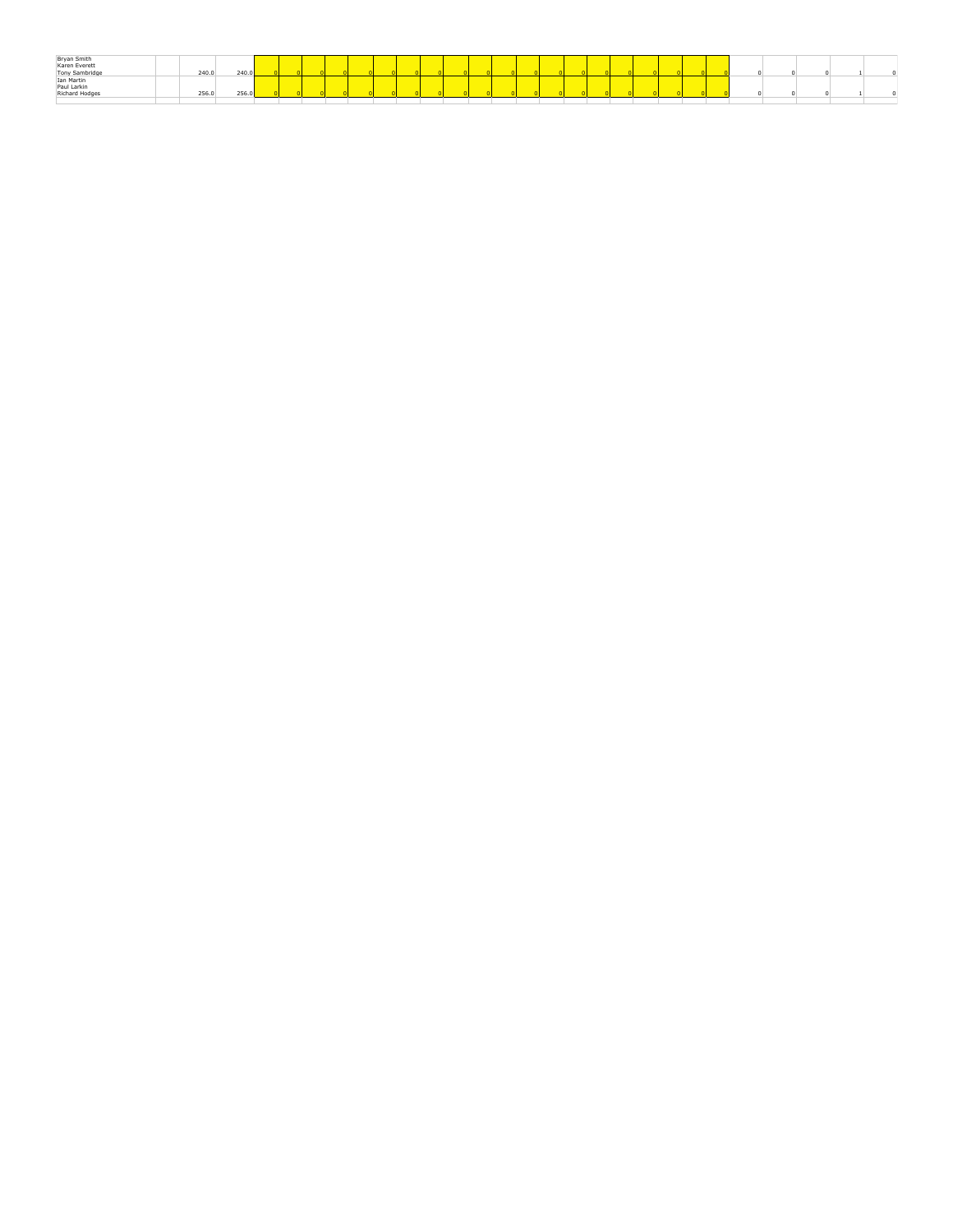| Bryan Smith<br>Karen Everett<br>Tony Sambridge |       |       |  |  |  |  |  |  |  |  |  |  |  |  |  |
|------------------------------------------------|-------|-------|--|--|--|--|--|--|--|--|--|--|--|--|--|
|                                                |       |       |  |  |  |  |  |  |  |  |  |  |  |  |  |
|                                                | 240.0 | 240.0 |  |  |  |  |  |  |  |  |  |  |  |  |  |
| Ian Martin                                     |       |       |  |  |  |  |  |  |  |  |  |  |  |  |  |
| Paul Larkin                                    |       |       |  |  |  |  |  |  |  |  |  |  |  |  |  |
| Richard Hodges                                 | 256.0 | 256.0 |  |  |  |  |  |  |  |  |  |  |  |  |  |
|                                                |       |       |  |  |  |  |  |  |  |  |  |  |  |  |  |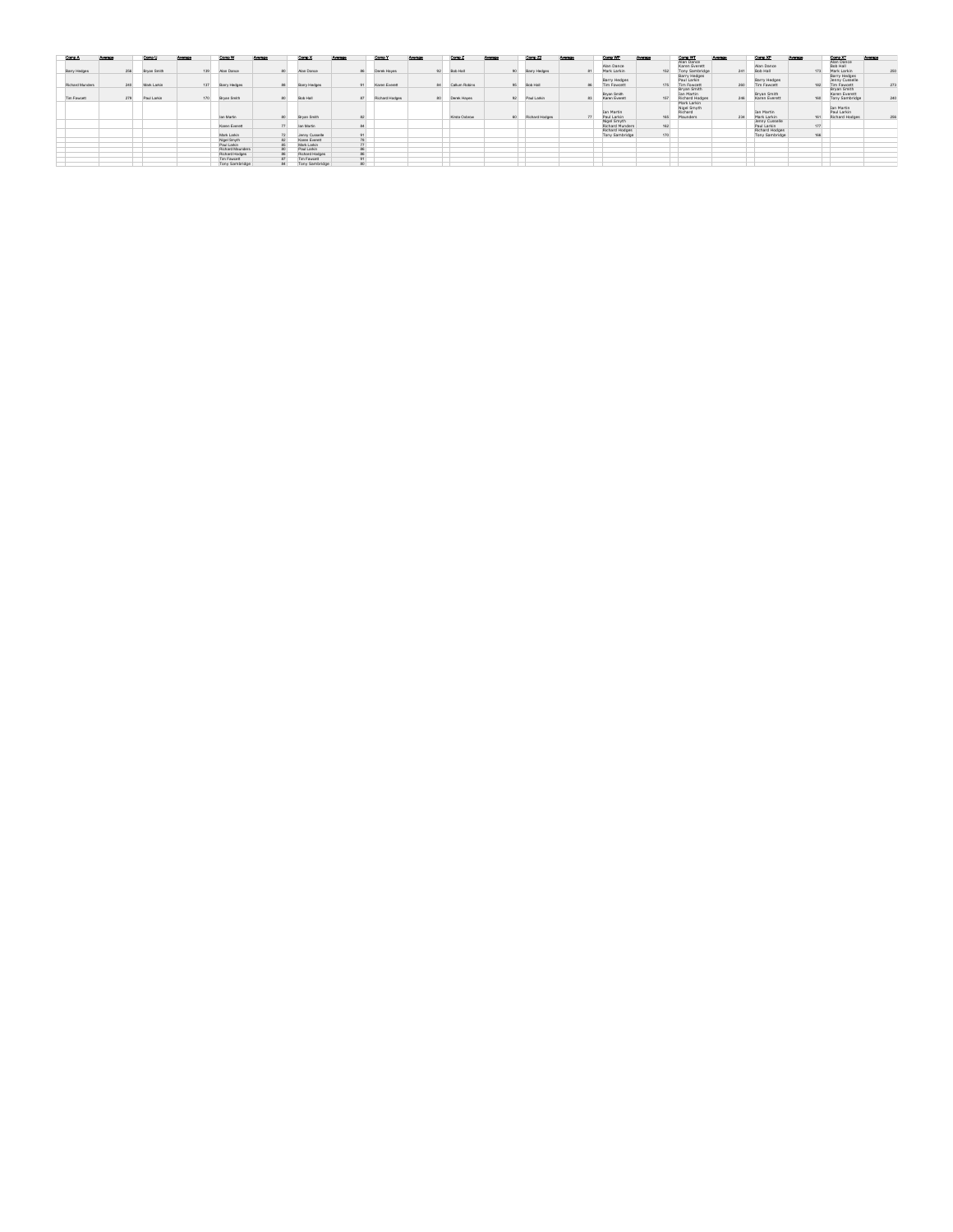| Comp A          | Average |     | Comp U      | Average |     | Comp W           | Average         | Comp X          | Average | Comp Y         | Average | Comp Z        | Average | Comp Z2         | Average | Comp WP                                 | Average | Comp WT                                            | Average | Comp XP                            | Average | Comp XT                                               | Average |
|-----------------|---------|-----|-------------|---------|-----|------------------|-----------------|-----------------|---------|----------------|---------|---------------|---------|-----------------|---------|-----------------------------------------|---------|----------------------------------------------------|---------|------------------------------------|---------|-------------------------------------------------------|---------|
| Barry Hedges    |         | 256 | Brvan Smith |         | 139 | Alan Dance       |                 | Alan Dance      | 86      | Derek Hayes    | 92      | Bob Hall      |         | Barry Hedges    | R1      | Alan Dance<br>Mark Larkin               | 152     | Alan Dance<br>Karen Everett<br>Tony Sambridge      | 241     | Alan Dance<br>Bob Hall             | 173     | Alan Dance<br><b>Bob Hall</b><br>Mark Larkin          | 250     |
| Richard Munders |         | 240 | Mark Larkin |         | 137 | Barry Hedges     |                 | Barry Hedges    | 91      | Karen Everett  | 84      | Callum Robins | 95      | <b>Bob Hall</b> |         | <b>Barry Hedges</b><br>Tim Fowcett      | 175     | Barry Hedges<br>Paul Larkin<br><b>Tim Fowcett</b>  | 260     | <b>Barry Hedges</b><br>Tim Fawcett | 182     | <b>Barry Hedges</b><br>Jenny Cusselle<br>Tim Fawcett  | 273     |
| Tim Fawcett     |         | 279 | Paul Larkin |         | 170 | Bryan Smith      | 80 <sup>1</sup> | <b>Bob Hall</b> | 87      | Richard Hodges | 80      | Derek Hayes   | 92      | Paul Larkin     | 83      | Bryan Smith<br>Karen Everett            | 157     | Bryan Smith<br><b>Ian Martin</b><br>Richard Hodges | 248     | Brvan Smith<br>Karen Everett       | 160     | Bryan Smith<br>Karen Everett<br><b>Tony Sambridge</b> | 240     |
|                 |         |     |             |         |     |                  |                 |                 |         |                |         |               |         |                 |         | <b>Ian Martin</b>                       |         | Mark Larkin<br>Nigel Smyth<br>Richard              |         | <b>Jan Martin</b>                  |         | <b>Ian Martin</b><br>Paul Larkin                      |         |
|                 |         |     |             |         |     | lan Martin       |                 | Bryan Smith     | 82      |                |         | Kirsta Oxbrow |         | Richard Hodges  | 77      | Paul Larkin                             | 165     | Maunders                                           | 234     | Mark Larkin                        | 161     | Richard Hodges                                        | 258     |
|                 |         |     |             |         |     | Karen Everett    |                 | lan Martin      | 84      |                |         |               |         |                 |         | Nigel Smyth<br>Richard Munders          | 162     |                                                    |         | Jenny Cusselle<br>Paul Larkin      | 177     |                                                       |         |
|                 |         |     |             |         |     | Mark Larkin      |                 | Jenny Cusselle  | 91      |                |         |               |         |                 |         | Richard Hodges<br><b>Tony Sambridge</b> | 170     |                                                    |         | Richard Hodges<br>Tony Sambridge   | 166     |                                                       |         |
|                 |         |     |             |         |     | Nigel Smyth      |                 | Karen Everett   | 78      |                |         |               |         |                 |         |                                         |         |                                                    |         |                                    |         |                                                       |         |
|                 |         |     |             |         |     | Paul Larkin      |                 | Mark Larkin     | 77      |                |         |               |         |                 |         |                                         |         |                                                    |         |                                    |         |                                                       |         |
|                 |         |     |             |         |     | Richard Maunders |                 | Paul Larkin     | 88.     |                |         |               |         |                 |         |                                         |         |                                                    |         |                                    |         |                                                       |         |
|                 |         |     |             |         |     | Richard Hodges   |                 | Richard Hodges  | 86      |                |         |               |         |                 |         |                                         |         |                                                    |         |                                    |         |                                                       |         |
|                 |         |     |             |         |     | Tim Fawcett      |                 | Tim Fawcett     | Q1      |                |         |               |         |                 |         |                                         |         |                                                    |         |                                    |         |                                                       |         |
|                 |         |     |             |         |     | Tony Sambridge   | 84              | Tony Sambridge  | 80      |                |         |               |         |                 |         |                                         |         |                                                    |         |                                    |         |                                                       |         |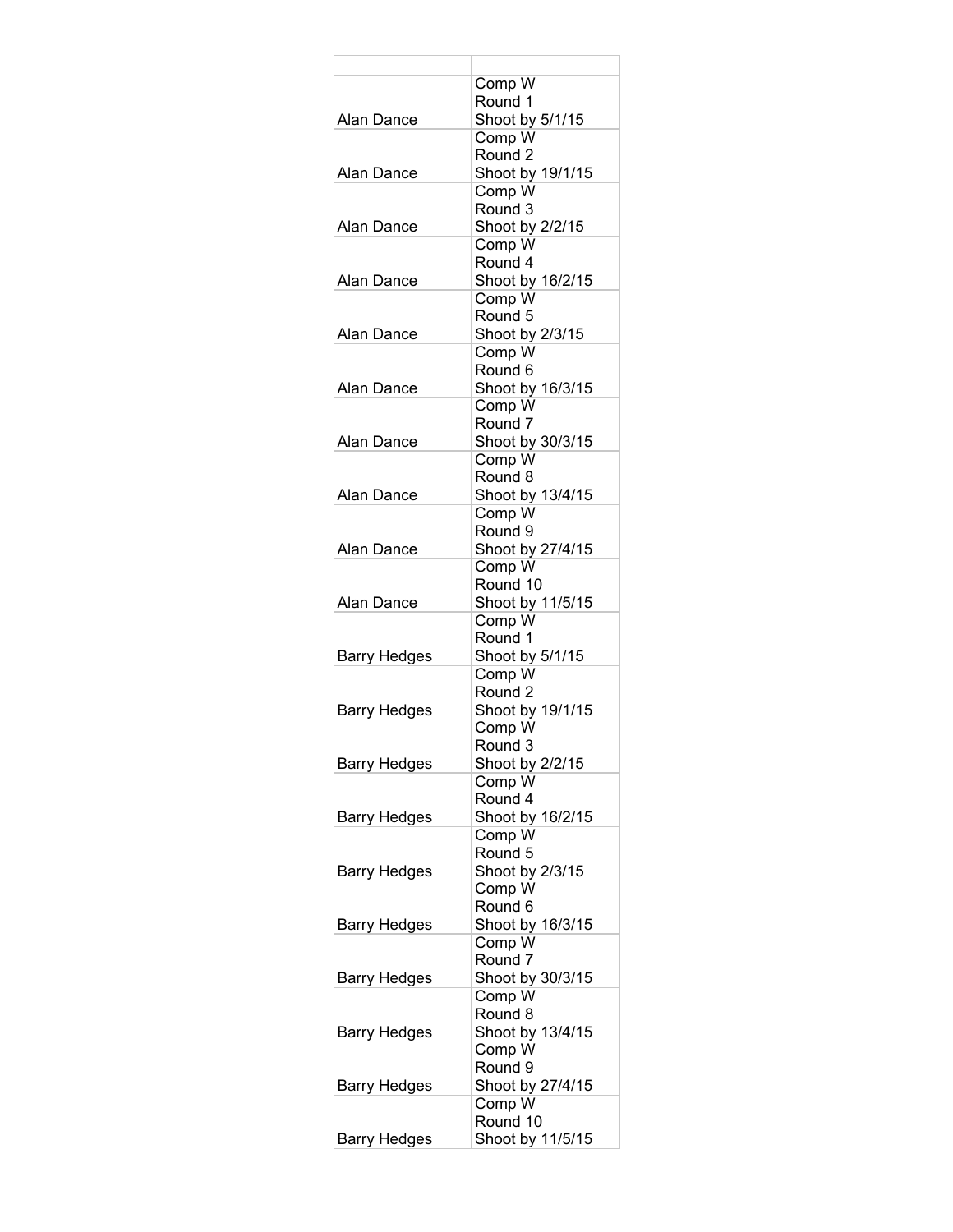|                     | Comp W                       |
|---------------------|------------------------------|
| Alan Dance          | Round 1<br>Shoot by 5/1/15   |
|                     | Comp W                       |
|                     | Round 2                      |
| Alan Dance          | Shoot by 19/1/15             |
|                     | Comp W                       |
|                     | Round 3                      |
| Alan Dance          | Shoot by 2/2/15              |
|                     | Comp W                       |
|                     | Round 4                      |
| Alan Dance          | Shoot by 16/2/15             |
|                     | Comp W<br>Round 5            |
| Alan Dance          | Shoot by 2/3/15              |
|                     | Comp W                       |
|                     | Round 6                      |
| Alan Dance          | Shoot by 16/3/15             |
|                     | Comp W                       |
|                     | Round <sub>7</sub>           |
| Alan Dance          | Shoot by 30/3/15             |
|                     | Comp W                       |
|                     | Round 8                      |
| Alan Dance          | Shoot by 13/4/15<br>Comp W   |
|                     | Round 9                      |
| Alan Dance          | Shoot by 27/4/15             |
|                     | Comp W                       |
|                     | Round 10                     |
| Alan Dance          | Shoot by 11/5/15             |
|                     | Comp W                       |
|                     | Round 1                      |
| Barry Hedges        | Shoot by 5/1/15              |
|                     | Comp W<br>Round <sub>2</sub> |
| Barry Hedges        | Shoot by 19/1/15             |
|                     | Comp W                       |
|                     | Round 3                      |
| <b>Barry Hedges</b> | Shoot by 2/2/15              |
|                     | Comp W                       |
|                     | Round 4                      |
| <b>Barry Hedges</b> | Shoot by 16/2/15             |
|                     | Comp W                       |
|                     | Round 5                      |
| Barry Hedges        | Shoot by 2/3/15<br>Comp W    |
|                     | Round 6                      |
| Barry Hedges        | Shoot by 16/3/15             |
|                     | Comp W                       |
|                     | Round 7                      |
| Barry Hedges        | Shoot by 30/3/15             |
|                     | Comp W                       |
|                     | Round 8                      |
| Barry Hedges        | Shoot by 13/4/15             |
|                     | Comp W                       |
| Barry Hedges        | Round 9<br>Shoot by 27/4/15  |
|                     | Comp W                       |
|                     | Round 10                     |
| Barry Hedges        | Shoot by 11/5/15             |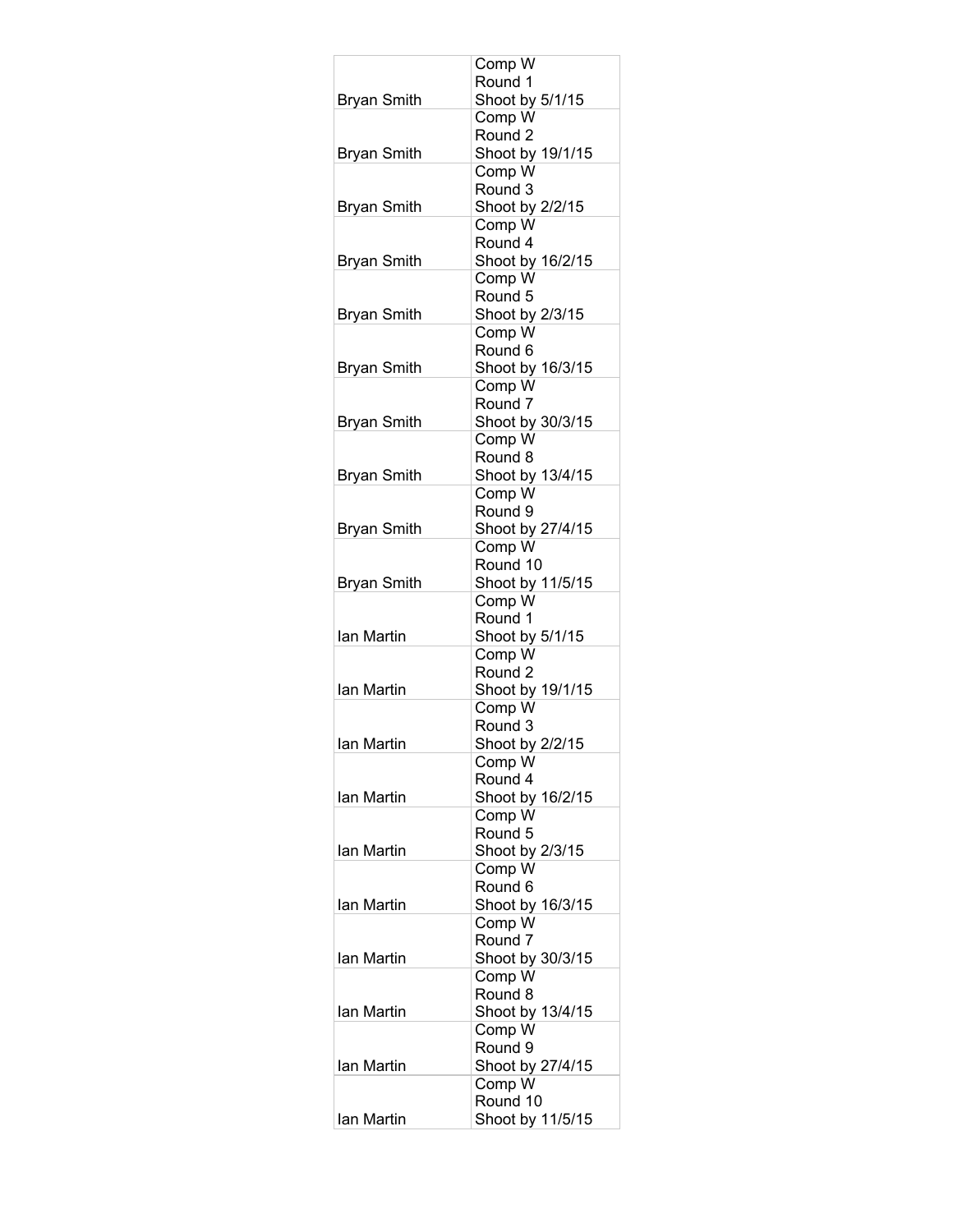|                    | Comp W                     |
|--------------------|----------------------------|
|                    | Round 1                    |
| <b>Bryan Smith</b> | Shoot by 5/1/15<br>Comp W  |
|                    | Round 2                    |
| <b>Bryan Smith</b> | Shoot by 19/1/15           |
|                    | Comp W                     |
|                    | Round 3                    |
| <b>Bryan Smith</b> | Shoot by 2/2/15            |
|                    | Comp W                     |
|                    | Round 4                    |
| <b>Bryan Smith</b> | Shoot by 16/2/15           |
|                    | Comp W                     |
|                    | Round 5                    |
| <b>Bryan Smith</b> | Shoot by 2/3/15            |
|                    | Comp W                     |
|                    | Round 6                    |
| <b>Bryan Smith</b> | Shoot by 16/3/15<br>Comp W |
|                    | Round <sub>7</sub>         |
| <b>Bryan Smith</b> | Shoot by 30/3/15           |
|                    | Comp W                     |
|                    | Round 8                    |
| <b>Bryan Smith</b> | Shoot by 13/4/15           |
|                    | Comp W                     |
|                    | Round 9                    |
| <b>Bryan Smith</b> | Shoot by 27/4/15           |
|                    | Comp W                     |
|                    | Round 10                   |
| <b>Bryan Smith</b> | Shoot by 11/5/15           |
|                    | Comp W<br>Round 1          |
| Ian Martin         | Shoot by 5/1/15            |
|                    | Comp W                     |
|                    | Round <sub>2</sub>         |
| Ian Martin         | Shoot by 19/1/15           |
|                    | Comp W                     |
|                    | Round 3                    |
| Ian Martin         | Shoot by 2/2/15            |
|                    | Comp W                     |
|                    | Round 4                    |
| Ian Martin         | Shoot by 16/2/15           |
|                    | Comp W                     |
| lan Martin         | Round 5<br>Shoot by 2/3/15 |
|                    | Comp W                     |
|                    | Round 6                    |
| Ian Martin         | Shoot by 16/3/15           |
|                    | Comp W                     |
|                    | Round <sub>7</sub>         |
| Ian Martin         | Shoot by 30/3/15           |
|                    | Comp W                     |
|                    | Round 8                    |
| Ian Martin         | Shoot by 13/4/15           |
|                    | Comp W                     |
| lan Martin         | Round 9                    |
|                    | Shoot by 27/4/15<br>Comp W |
|                    | Round 10                   |
| Ian Martin         | Shoot by 11/5/15           |
|                    |                            |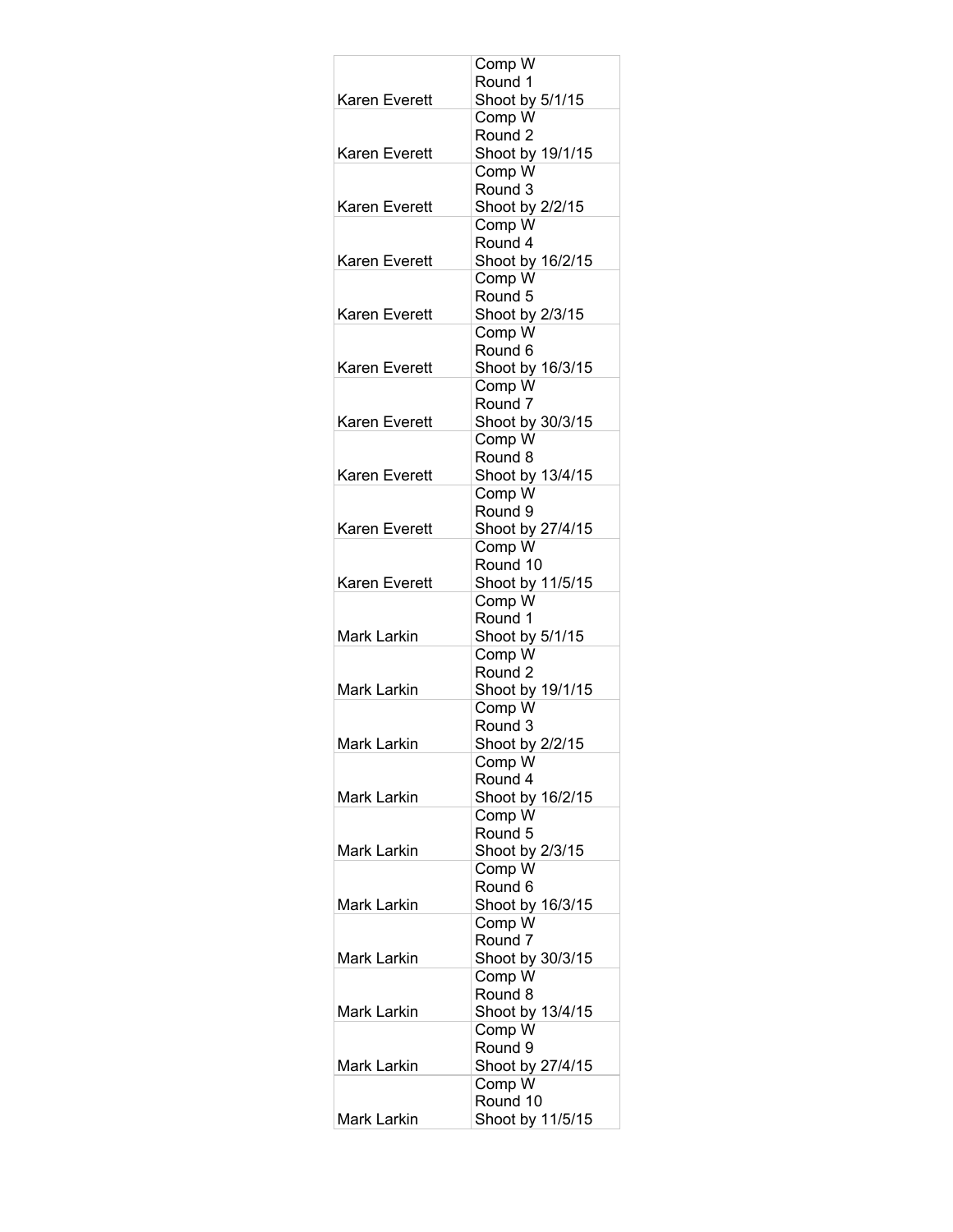|                      | Comp W                     |
|----------------------|----------------------------|
|                      | Round 1                    |
| Karen Everett        | Shoot by 5/1/15<br>Comp W  |
|                      | Round <sub>2</sub>         |
| <b>Karen Everett</b> | Shoot by 19/1/15           |
|                      | Comp W                     |
|                      | Round 3                    |
| Karen Everett        | Shoot by 2/2/15            |
|                      | Comp W                     |
|                      | Round 4                    |
| Karen Everett        | Shoot by 16/2/15           |
|                      | Comp W<br>Round 5          |
| Karen Everett        | Shoot by 2/3/15            |
|                      | Comp W                     |
|                      | Round 6                    |
| <b>Karen Everett</b> | Shoot by 16/3/15           |
|                      | Comp W                     |
|                      | Round <sub>7</sub>         |
| Karen Everett        | Shoot by 30/3/15           |
|                      | Comp W<br>Round 8          |
| Karen Everett        | Shoot by 13/4/15           |
|                      | Comp W                     |
|                      | Round 9                    |
| Karen Everett        | Shoot by 27/4/15           |
|                      | Comp W                     |
|                      | Round 10                   |
| Karen Everett        | Shoot by 11/5/15           |
|                      | Comp W<br>Round 1          |
| Mark Larkin          | Shoot by 5/1/15            |
|                      | Comp W                     |
|                      | Round <sub>2</sub>         |
| Mark Larkin          | Shoot by 19/1/15           |
|                      | Comp W                     |
|                      | Round 3                    |
| Mark Larkin          | Shoot by 2/2/15            |
|                      | Comp W<br>Round 4          |
| <b>Mark Larkin</b>   | Shoot by 16/2/15           |
|                      | Comp W                     |
|                      | Round 5                    |
| Mark Larkin          | Shoot by 2/3/15            |
|                      | Comp W                     |
|                      | Round 6                    |
| Mark Larkin          | Shoot by 16/3/15<br>Comp W |
|                      | Round 7                    |
| Mark Larkin          | Shoot by 30/3/15           |
|                      | Comp W                     |
|                      | Round 8                    |
| Mark Larkin          | Shoot by 13/4/15           |
|                      | Comp W                     |
|                      | Round 9                    |
| Mark Larkin          | Shoot by 27/4/15<br>Comp W |
|                      | Round 10                   |
| Mark Larkin          | Shoot by 11/5/15           |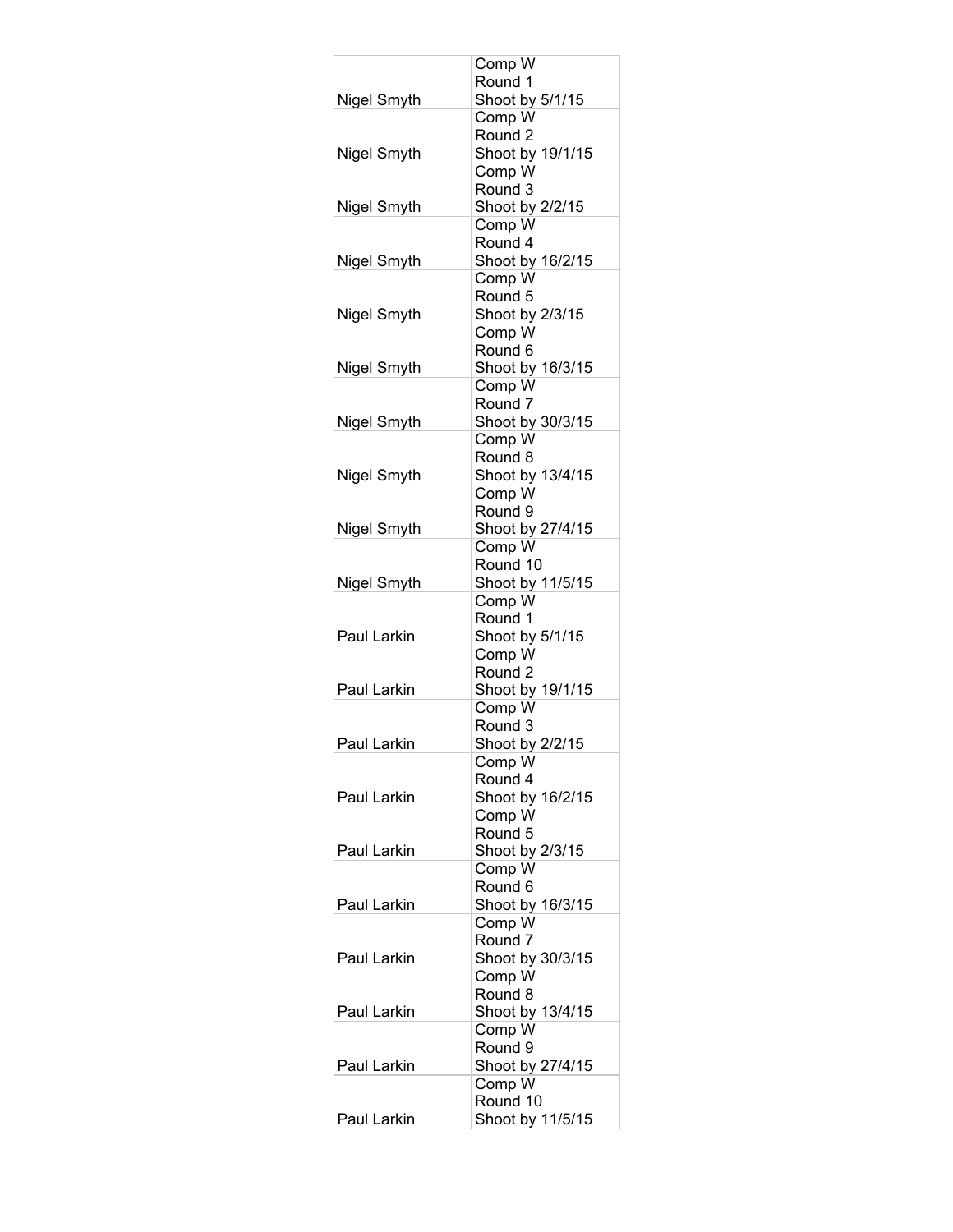|             | Comp W                      |
|-------------|-----------------------------|
|             | Round 1                     |
| Nigel Smyth | Shoot by 5/1/15<br>Comp W   |
|             | Round 2                     |
| Nigel Smyth | Shoot by 19/1/15            |
|             | Comp W                      |
|             | Round 3                     |
| Nigel Smyth | Shoot by 2/2/15             |
|             | Comp W                      |
|             | Round 4                     |
| Nigel Smyth | Shoot by 16/2/15<br>Comp W  |
|             | Round 5                     |
| Nigel Smyth | Shoot by 2/3/15             |
|             | Comp W                      |
|             | Round 6                     |
| Nigel Smyth | Shoot by 16/3/15            |
|             | Comp W                      |
|             | Round <sub>7</sub>          |
| Nigel Smyth | Shoot by 30/3/15            |
|             | Comp W<br>Round 8           |
| Nigel Smyth | Shoot by 13/4/15            |
|             | Comp W                      |
|             | Round 9                     |
| Nigel Smyth | Shoot by 27/4/15            |
|             | Comp W                      |
|             | Round 10                    |
| Nigel Smyth | Shoot by 11/5/15<br>Comp W  |
|             | Round 1                     |
| Paul Larkin | Shoot by 5/1/15             |
|             | Comp W                      |
|             | Round 2                     |
| Paul Larkin | Shoot by 19/1/15            |
|             | Comp W                      |
| Paul Larkin | Round 3<br>Shoot by 2/2/15  |
|             | Comp W                      |
|             | Round 4                     |
| Paul Larkin | Shoot by 16/2/15            |
|             | Comp W                      |
|             | Round 5                     |
| Paul Larkin | Shoot by 2/3/15             |
|             | Comp W                      |
| Paul Larkin | Round 6<br>Shoot by 16/3/15 |
|             | Comp W                      |
|             | Round <sub>7</sub>          |
| Paul Larkin | Shoot by 30/3/15            |
|             | Comp W                      |
|             | Round 8                     |
| Paul Larkin | Shoot by 13/4/15            |
|             | Comp W<br>Round 9           |
| Paul Larkin | Shoot by 27/4/15            |
|             | Comp W                      |
|             | Round 10                    |
| Paul Larkin | Shoot by 11/5/15            |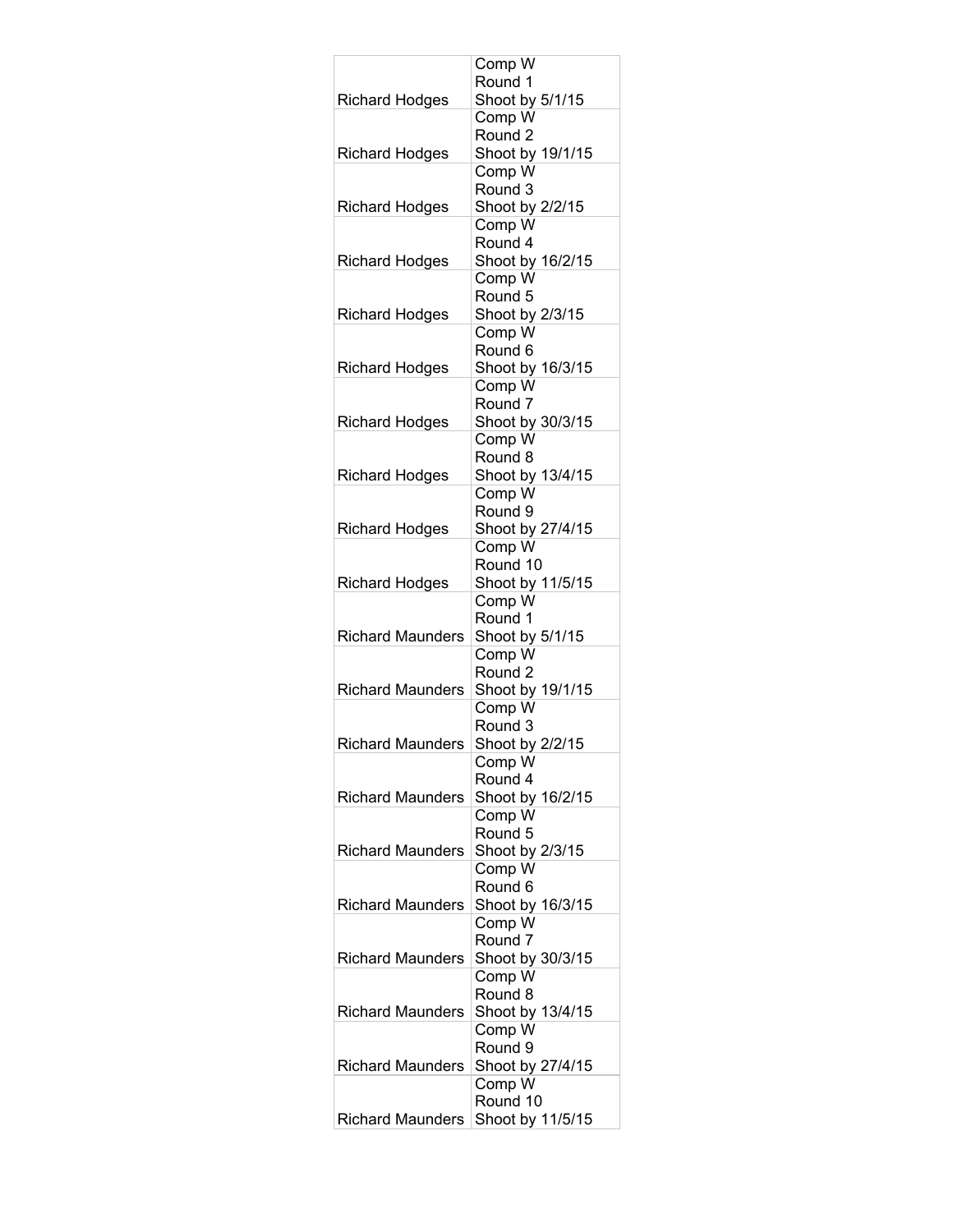|                         | Comp W                       |
|-------------------------|------------------------------|
|                         | Round 1                      |
| <b>Richard Hodges</b>   | Shoot by 5/1/15<br>Comp W    |
|                         | Round <sub>2</sub>           |
| <b>Richard Hodges</b>   | Shoot by 19/1/15             |
|                         | Comp W                       |
|                         | Round 3                      |
| <b>Richard Hodges</b>   | Shoot by 2/2/15              |
|                         | Comp W                       |
| <b>Richard Hodges</b>   | Round 4<br>Shoot by 16/2/15  |
|                         | Comp W                       |
|                         | Round 5                      |
| <b>Richard Hodges</b>   | Shoot by 2/3/15              |
|                         | Comp W                       |
|                         | Round 6                      |
| <b>Richard Hodges</b>   | Shoot by 16/3/15             |
|                         | Comp W<br>Round <sub>7</sub> |
| <b>Richard Hodges</b>   | Shoot by 30/3/15             |
|                         | Comp W                       |
|                         | Round 8                      |
| <b>Richard Hodges</b>   | Shoot by 13/4/15             |
|                         | Comp W                       |
|                         | Round 9                      |
| <b>Richard Hodges</b>   | Shoot by 27/4/15<br>Comp W   |
|                         | Round 10                     |
| <b>Richard Hodges</b>   | Shoot by 11/5/15             |
|                         | Comp W                       |
|                         | Round 1                      |
| <b>Richard Maunders</b> | Shoot by 5/1/15              |
|                         | Comp W<br>Round <sub>2</sub> |
| <b>Richard Maunders</b> | Shoot by 19/1/15             |
|                         | Comp W                       |
|                         | Round 3                      |
| <b>Richard Maunders</b> | Shoot by 2/2/15              |
|                         | Comp W                       |
| <b>Richard Maunders</b> | Round 4                      |
|                         | Shoot by 16/2/15<br>Comp W   |
|                         | Round 5                      |
| <b>Richard Maunders</b> | Shoot by 2/3/15              |
|                         | Comp W                       |
|                         | Round 6                      |
| <b>Richard Maunders</b> | Shoot by 16/3/15             |
|                         | Comp W<br>Round 7            |
| <b>Richard Maunders</b> | Shoot by 30/3/15             |
|                         | Comp W                       |
|                         | Round 8                      |
| <b>Richard Maunders</b> | Shoot by 13/4/15             |
|                         | Comp W                       |
|                         | Round 9                      |
| <b>Richard Maunders</b> | Shoot by 27/4/15<br>Comp W   |
|                         | Round 10                     |
| <b>Richard Maunders</b> | Shoot by 11/5/15             |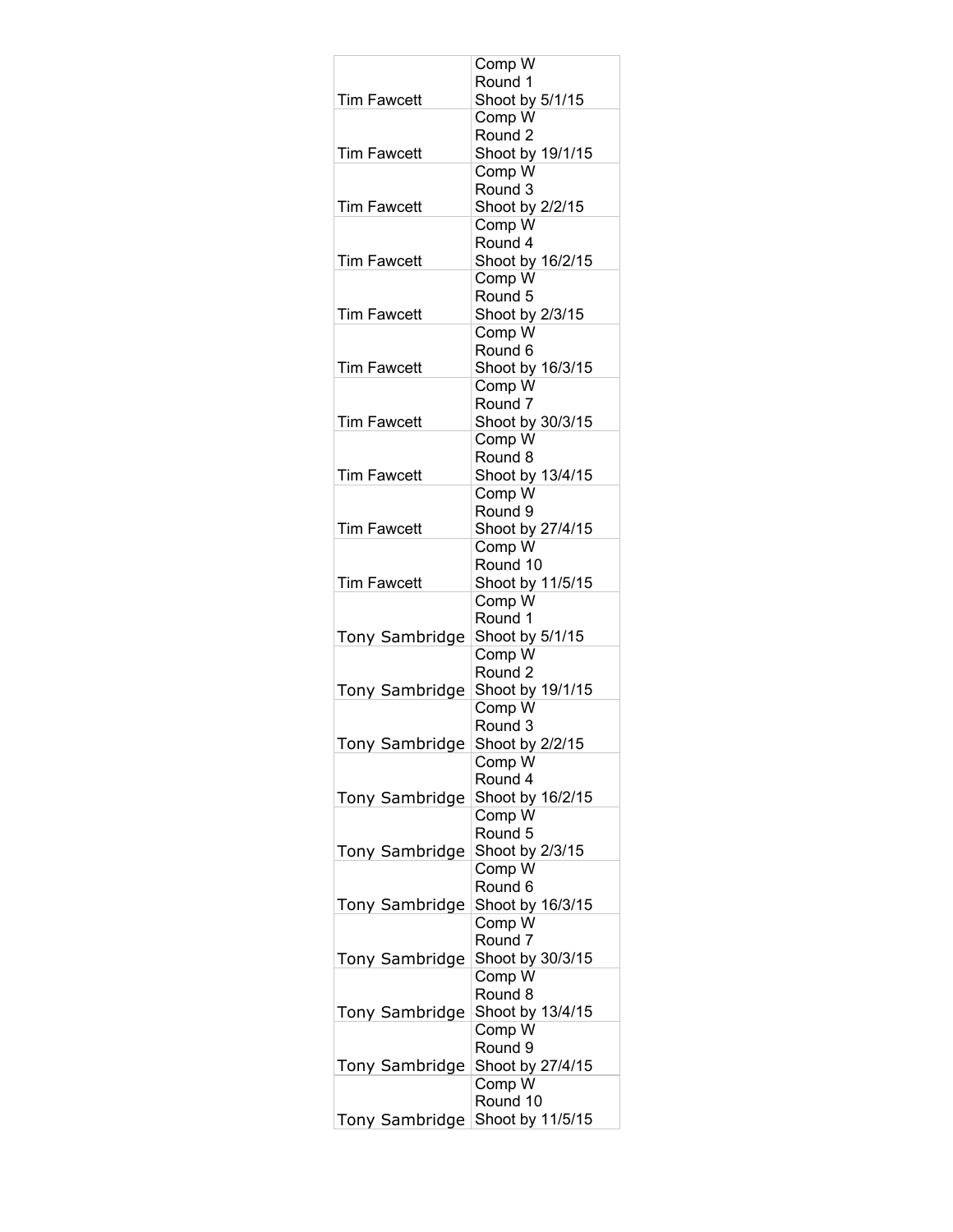|                       | Comp W                      |
|-----------------------|-----------------------------|
|                       | Round 1                     |
| <b>Tim Fawcett</b>    | Shoot by 5/1/15<br>Comp W   |
|                       | Round <sub>2</sub>          |
| <b>Tim Fawcett</b>    | Shoot by 19/1/15            |
|                       | Comp W                      |
|                       | Round 3                     |
| <b>Tim Fawcett</b>    | Shoot by 2/2/15<br>Comp W   |
|                       | Round 4                     |
| <b>Tim Fawcett</b>    | Shoot by 16/2/15            |
|                       | Comp W                      |
|                       | Round 5                     |
| <b>Tim Fawcett</b>    | Shoot by 2/3/15             |
|                       | Comp W<br>Round 6           |
| <b>Tim Fawcett</b>    | Shoot by 16/3/15            |
|                       | Comp W                      |
|                       | Round <sub>7</sub>          |
| <b>Tim Fawcett</b>    | Shoot by 30/3/15            |
|                       | Comp W                      |
| <b>Tim Fawcett</b>    | Round 8<br>Shoot by 13/4/15 |
|                       | Comp W                      |
|                       | Round 9                     |
| <b>Tim Fawcett</b>    | Shoot by 27/4/15            |
|                       | Comp W                      |
|                       | Round 10                    |
| <b>Tim Fawcett</b>    | Shoot by 11/5/15<br>Comp W  |
|                       | Round 1                     |
| Tony Sambridge        | Shoot by 5/1/15             |
|                       | Comp W                      |
|                       | Round <sub>2</sub>          |
| Tony Sambridge        | Shoot by 19/1/15            |
|                       | Comp W<br>Round 3           |
| <b>Tony Sambridge</b> | Shoot by 2/2/15             |
|                       | Comp W                      |
|                       | Round 4                     |
| <b>Tony Sambridge</b> | Shoot by 16/2/15            |
|                       | Comp W<br>Round 5           |
| Tony Sambridge        | Shoot by 2/3/15             |
|                       | Comp W                      |
|                       | Round 6                     |
| Tony Sambridge        | Shoot by 16/3/15            |
|                       | Comp W                      |
|                       | Round 7<br>Shoot by 30/3/15 |
| Tony Sambridge        | Comp W                      |
|                       | Round 8                     |
| Tony Sambridge        | Shoot by 13/4/15            |
|                       | Comp W                      |
|                       | Round 9                     |
| Tony Sambridge        | Shoot by 27/4/15<br>Comp W  |
|                       | Round 10                    |
| Tony Sambridge        | Shoot by 11/5/15            |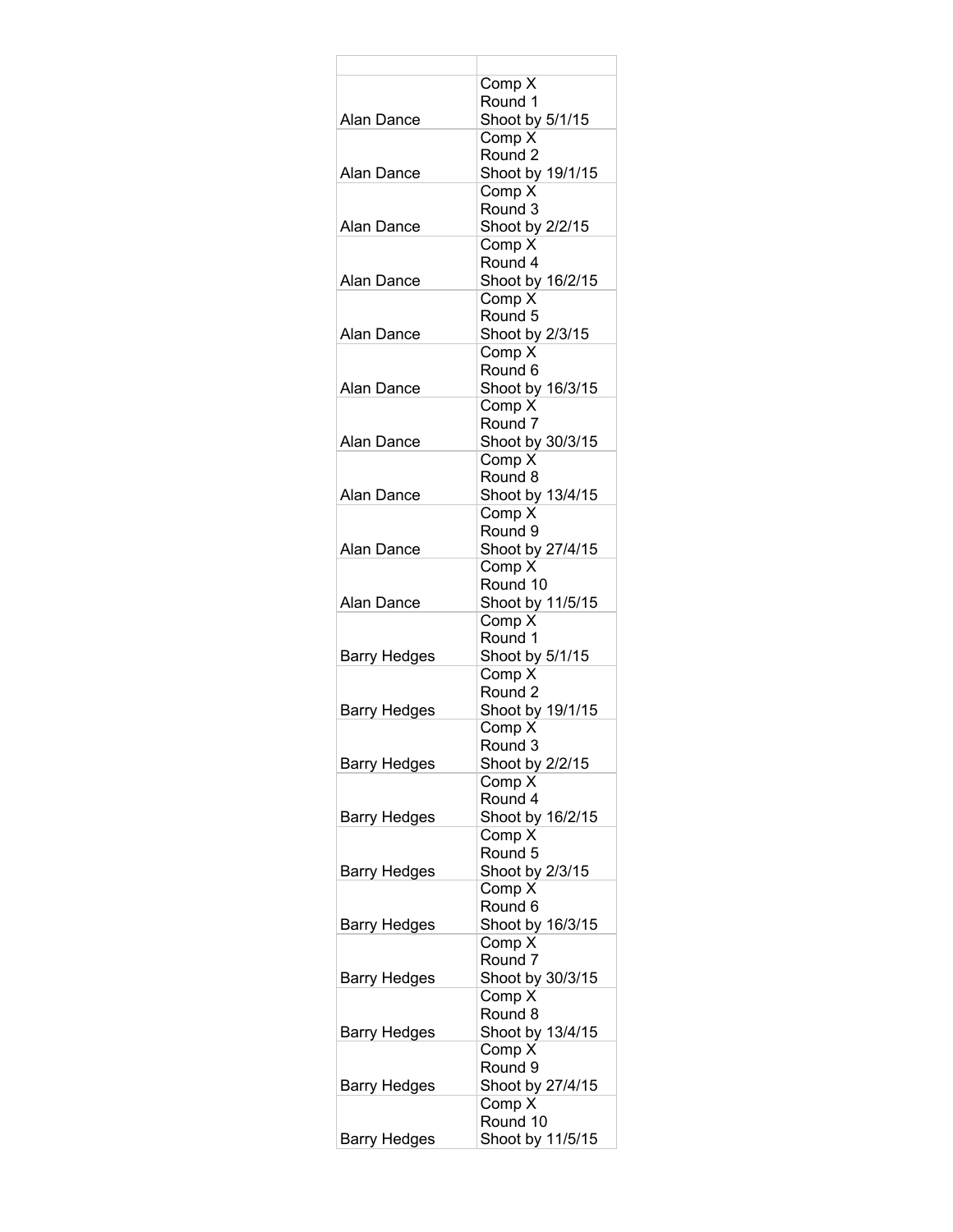|                     | Comp X                       |
|---------------------|------------------------------|
| Alan Dance          | Round 1                      |
|                     | Shoot by 5/1/15<br>Comp X    |
|                     | Round <sub>2</sub>           |
| Alan Dance          | Shoot by 19/1/15             |
|                     | Comp X                       |
|                     | Round 3                      |
| Alan Dance          | Shoot by 2/2/15              |
|                     | Comp X                       |
|                     | Round 4                      |
| Alan Dance          | Shoot by 16/2/15             |
|                     | Comp X                       |
| Alan Dance          | Round 5<br>Shoot by 2/3/15   |
|                     | Comp X                       |
|                     | Round 6                      |
| Alan Dance          | Shoot by 16/3/15             |
|                     | Comp X                       |
|                     | Round <sub>7</sub>           |
| Alan Dance          | Shoot by 30/3/15             |
|                     | Comp X                       |
|                     | Round 8                      |
| Alan Dance          | Shoot by 13/4/15<br>Comp X   |
|                     | Round 9                      |
| Alan Dance          | Shoot by 27/4/15             |
|                     | Comp X                       |
|                     | Round 10                     |
| Alan Dance          | Shoot by 11/5/15             |
|                     | Comp X                       |
|                     | Round 1                      |
| Barry Hedges        | Shoot by 5/1/15              |
|                     | Comp X<br>Round <sub>2</sub> |
| Barry Hedges        | Shoot by 19/1/15             |
|                     | Comp X                       |
|                     | Round 3                      |
| <b>Barry Hedges</b> | Shoot by 2/2/15              |
|                     | Comp X                       |
|                     | Round 4                      |
| Barry Hedges        | Shoot by 16/2/15             |
|                     | Comp X                       |
|                     | Round 5                      |
| Barry Hedges        | Shoot by 2/3/15<br>Comp X    |
|                     | Round 6                      |
| <b>Barry Hedges</b> | Shoot by 16/3/15             |
|                     | Comp X                       |
|                     | Round 7                      |
| Barry Hedges        | Shoot by 30/3/15             |
|                     | Comp X                       |
|                     | Round 8                      |
| Barry Hedges        | Shoot by 13/4/15             |
|                     | Comp X<br>Round 9            |
| Barry Hedges        | Shoot by 27/4/15             |
|                     | Comp X                       |
|                     | Round 10                     |
| Barry Hedges        | Shoot by 11/5/15             |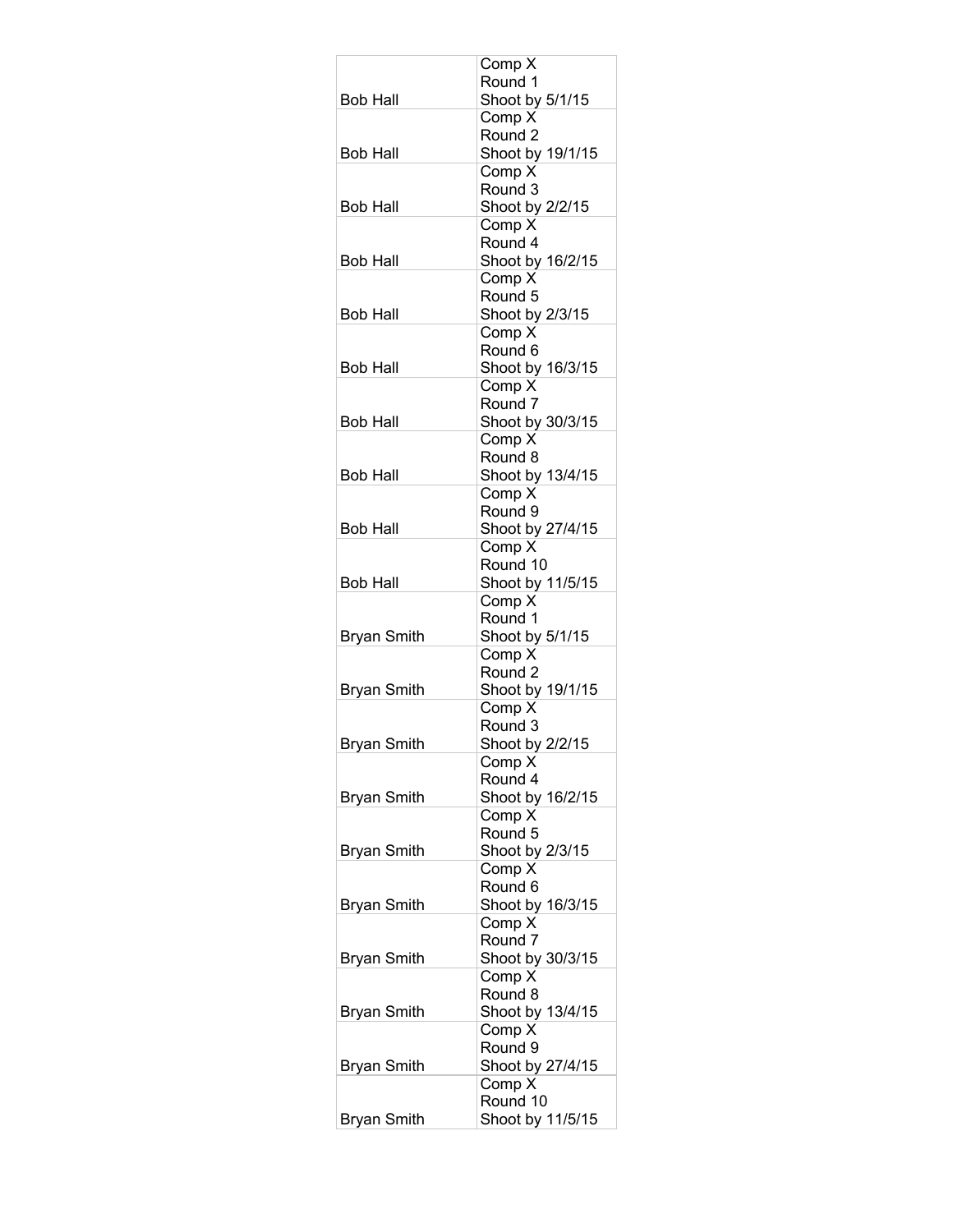|                    | Comp X                       |
|--------------------|------------------------------|
|                    | Round 1                      |
| <b>Bob Hall</b>    | Shoot by 5/1/15              |
|                    | Comp X<br>Round 2            |
| <b>Bob Hall</b>    | Shoot by 19/1/15             |
|                    | Comp X                       |
|                    | Round 3                      |
| <b>Bob Hall</b>    | Shoot by 2/2/15              |
|                    | Comp X                       |
|                    | Round 4                      |
| <b>Bob Hall</b>    | Shoot by 16/2/15             |
|                    | Comp X<br>Round 5            |
| Bob Hall           | Shoot by 2/3/15              |
|                    | Comp X                       |
|                    | Round <sub>6</sub>           |
| <b>Bob Hall</b>    | Shoot by 16/3/15             |
|                    | Comp X                       |
|                    | Round <sub>7</sub>           |
| Bob Hall           | Shoot by 30/3/15<br>Comp X   |
|                    | Round 8                      |
| <b>Bob Hall</b>    | Shoot by 13/4/15             |
|                    | Comp X                       |
|                    | Round 9                      |
| <b>Bob Hall</b>    | Shoot by 27/4/15             |
|                    | Comp X                       |
|                    | Round 10                     |
| <b>Bob Hall</b>    | Shoot by 11/5/15<br>Comp X   |
|                    | Round 1                      |
| <b>Bryan Smith</b> | Shoot by 5/1/15              |
|                    | Comp X                       |
|                    | Round <sub>2</sub>           |
| <b>Bryan Smith</b> | Shoot by 19/1/15             |
|                    | Comp X                       |
| <b>Bryan Smith</b> | Round 3<br>Shoot by 2/2/15   |
|                    | Comp X                       |
|                    | Round 4                      |
| <b>Bryan Smith</b> | Shoot by 16/2/15             |
|                    | Comp X                       |
|                    | Round 5                      |
| <b>Bryan Smith</b> | Shoot by 2/3/15              |
|                    | Comp X<br>Round <sub>6</sub> |
| <b>Bryan Smith</b> | Shoot by 16/3/15             |
|                    | Comp X                       |
|                    | Round 7                      |
| <b>Bryan Smith</b> | Shoot by 30/3/15             |
|                    | Comp X                       |
|                    | Round 8                      |
| <b>Bryan Smith</b> | Shoot by 13/4/15<br>Comp X   |
|                    | Round 9                      |
| <b>Bryan Smith</b> | Shoot by 27/4/15             |
|                    | Comp X                       |
|                    | Round 10                     |
| <b>Bryan Smith</b> | Shoot by 11/5/15             |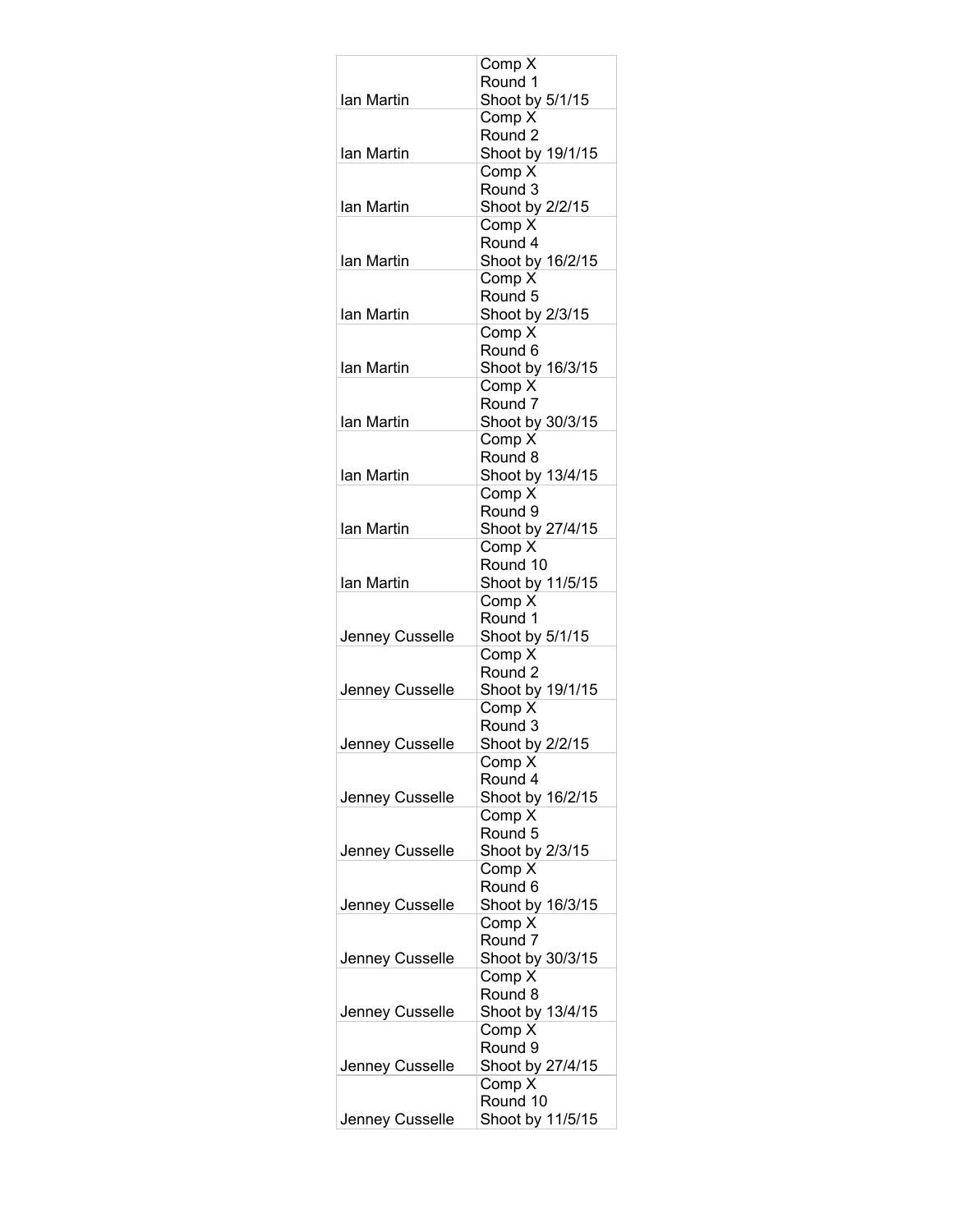|                 | Comp X                                 |
|-----------------|----------------------------------------|
| lan Martin      | Round 1                                |
|                 | Shoot by 5/1/15<br>Comp X              |
|                 | Round 2                                |
| Ian Martin      | Shoot by 19/1/15                       |
|                 | Comp X                                 |
|                 | Round 3                                |
| Ian Martin      | Shoot by 2/2/15                        |
|                 | Comp X<br>Round 4                      |
| Ian Martin      | Shoot by 16/2/15                       |
|                 | Comp X                                 |
|                 | Round 5                                |
| Ian Martin      | Shoot by 2/3/15                        |
|                 | Comp X                                 |
| Ian Martin      | Round <sub>6</sub><br>Shoot by 16/3/15 |
|                 | Comp X                                 |
|                 | Round 7                                |
| Ian Martin      | Shoot by 30/3/15                       |
|                 | Comp X                                 |
|                 | Round 8                                |
| Ian Martin      | Shoot by 13/4/15                       |
|                 | Comp X<br>Round 9                      |
| Ian Martin      | Shoot by 27/4/15                       |
|                 | Comp X                                 |
|                 | Round 10                               |
| Ian Martin      | Shoot by 11/5/15                       |
|                 | Comp X                                 |
| Jenney Cusselle | Round 1<br>Shoot by 5/1/15             |
|                 | Comp X                                 |
|                 | Round <sub>2</sub>                     |
| Jenney Cusselle | Shoot by 19/1/15                       |
|                 | Comp X                                 |
| Jenney Cusselle | Round 3<br>Shoot by 2/2/15             |
|                 | Comp X                                 |
|                 | Round 4                                |
| Jenney Cusselle | Shoot by 16/2/15                       |
|                 | Comp X                                 |
|                 | Round 5                                |
| Jenney Cusselle | Shoot by 2/3/15<br>Comp X              |
|                 | Round 6                                |
| Jenney Cusselle | Shoot by 16/3/15                       |
|                 | Comp X                                 |
|                 | Round <sub>7</sub>                     |
| Jenney Cusselle | Shoot by 30/3/15                       |
|                 | Comp X<br>Round 8                      |
| Jenney Cusselle | Shoot by 13/4/15                       |
|                 | Comp X                                 |
|                 | Round 9                                |
| Jenney Cusselle | Shoot by 27/4/15                       |
|                 | Comp X<br>Round 10                     |
| Jenney Cusselle | Shoot by 11/5/15                       |
|                 |                                        |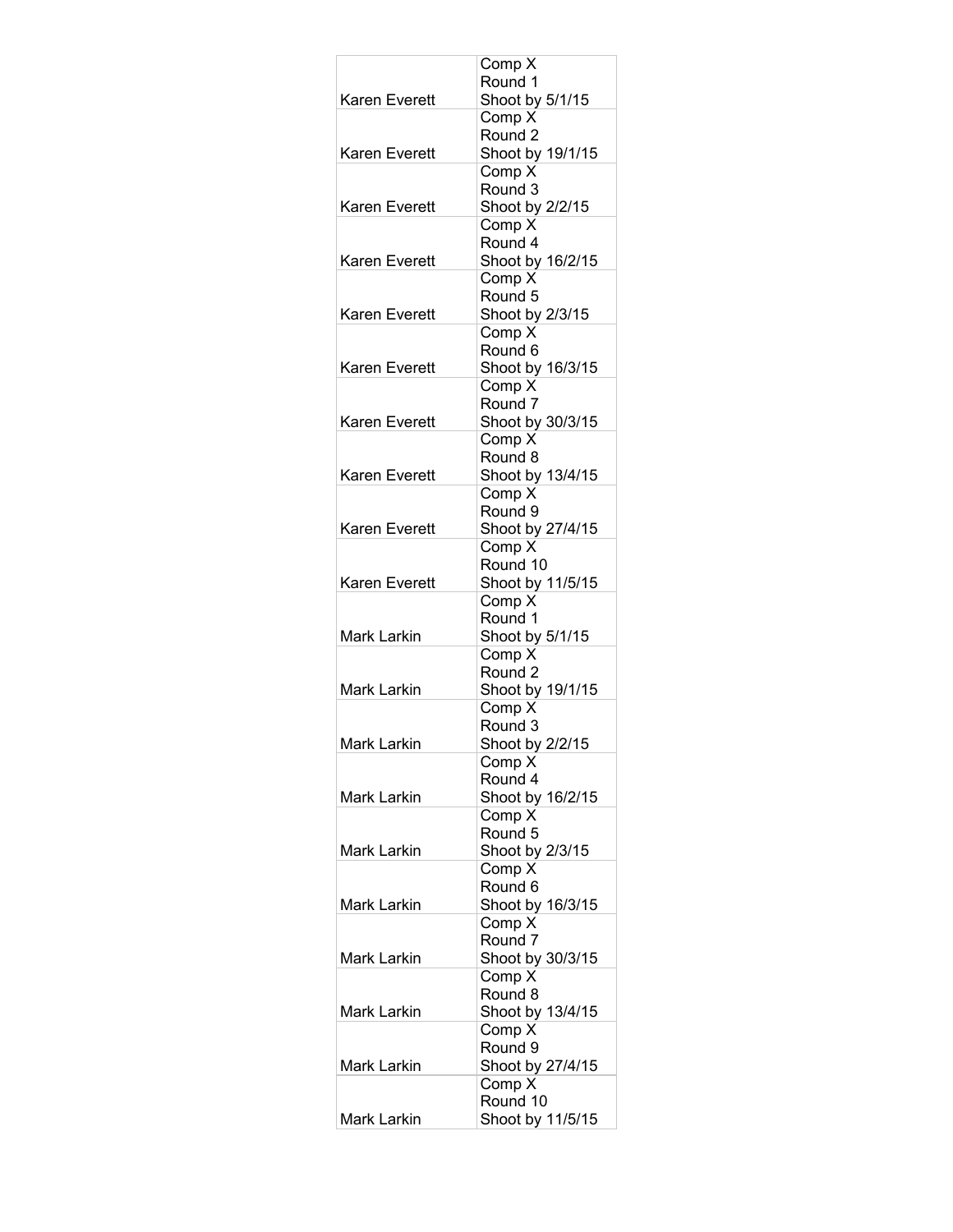|                      | Comp X                       |
|----------------------|------------------------------|
|                      | Round 1                      |
| Karen Everett        | Shoot by 5/1/15              |
|                      | Comp X<br>Round <sub>2</sub> |
| <b>Karen Everett</b> | Shoot by 19/1/15             |
|                      | Comp X                       |
|                      | Round 3                      |
| Karen Everett        | Shoot by 2/2/15              |
|                      | Comp X                       |
|                      | Round 4                      |
| Karen Everett        | Shoot by 16/2/15             |
|                      | Comp X<br>Round 5            |
| Karen Everett        | Shoot by 2/3/15              |
|                      | Comp X                       |
|                      | Round 6                      |
| <b>Karen Everett</b> | Shoot by 16/3/15             |
|                      | Comp X                       |
|                      | Round <sub>7</sub>           |
| Karen Everett        | Shoot by 30/3/15             |
|                      | Comp X<br>Round 8            |
| Karen Everett        | Shoot by 13/4/15             |
|                      | Comp X                       |
|                      | Round 9                      |
| Karen Everett        | Shoot by 27/4/15             |
|                      | Comp X                       |
|                      | Round 10                     |
| Karen Everett        | Shoot by 11/5/15<br>Comp X   |
|                      | Round 1                      |
| Mark Larkin          | Shoot by 5/1/15              |
|                      | Comp X                       |
|                      | Round 2                      |
| Mark Larkin          | Shoot by 19/1/15             |
|                      | Comp X<br>Round 3            |
| <b>Mark Larkin</b>   | Shoot by 2/2/15              |
|                      | Comp X                       |
|                      | Round 4                      |
| <b>Mark Larkin</b>   | Shoot by 16/2/15             |
|                      | Comp X                       |
|                      | Round 5                      |
| Mark Larkin          | Shoot by 2/3/15<br>Comp X    |
|                      | Round 6                      |
| Mark Larkin          | Shoot by 16/3/15             |
|                      | Comp X                       |
|                      | Round <sub>7</sub>           |
| Mark Larkin          | Shoot by 30/3/15             |
|                      | Comp X<br>Round 8            |
| Mark Larkin          | Shoot by 13/4/15             |
|                      | Comp X                       |
|                      | Round 9                      |
| Mark Larkin          | Shoot by 27/4/15             |
|                      | Comp X                       |
|                      | Round 10                     |
| Mark Larkin          | Shoot by 11/5/15             |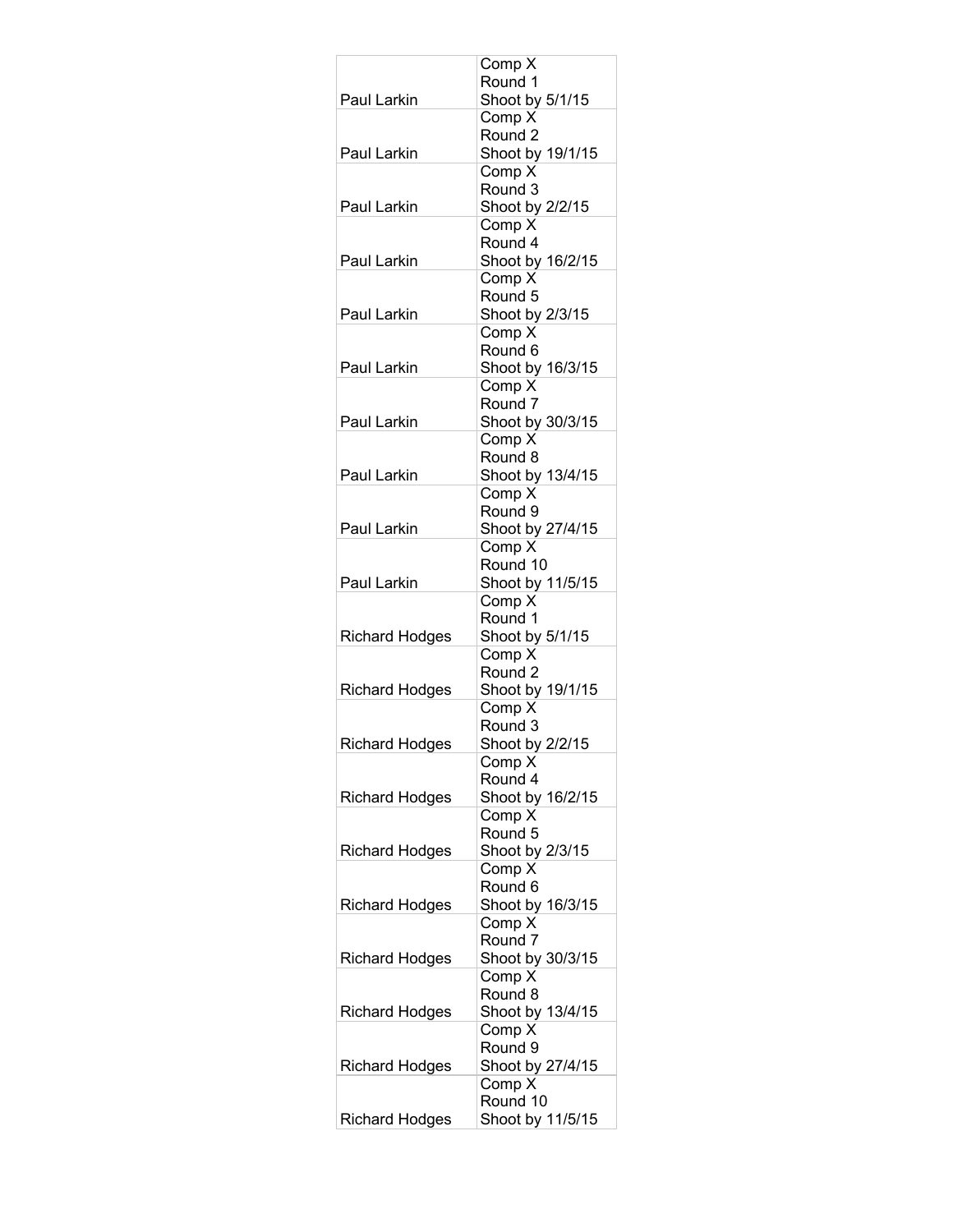|                       | Comp X                       |
|-----------------------|------------------------------|
|                       | Round 1                      |
| Paul Larkin           | Shoot by 5/1/15              |
|                       | Comp X<br>Round <sub>2</sub> |
| Paul Larkin           | Shoot by 19/1/15             |
|                       | Comp X                       |
|                       | Round 3                      |
| Paul Larkin           | Shoot by 2/2/15              |
|                       | Comp X                       |
|                       | Round 4                      |
| Paul Larkin           | Shoot by 16/2/15<br>Comp X   |
|                       | Round 5                      |
| Paul Larkin           | Shoot by 2/3/15              |
|                       | Comp X                       |
|                       | Round 6                      |
| Paul Larkin           | Shoot by 16/3/15             |
|                       | Comp X                       |
|                       | Round <sub>7</sub>           |
| Paul Larkin           | Shoot by 30/3/15<br>Comp X   |
|                       | Round 8                      |
| Paul Larkin           | Shoot by 13/4/15             |
|                       | Comp X                       |
|                       | Round 9                      |
| Paul Larkin           | Shoot by 27/4/15             |
|                       | Comp X                       |
|                       | Round 10                     |
| Paul Larkin           | Shoot by 11/5/15<br>Comp X   |
|                       | Round 1                      |
| <b>Richard Hodges</b> | Shoot by 5/1/15              |
|                       | Comp X                       |
|                       | Round <sub>2</sub>           |
| <b>Richard Hodges</b> | Shoot by 19/1/15             |
|                       | Comp X                       |
|                       | Round 3<br>Shoot by 2/2/15   |
| <b>Richard Hodges</b> | Comp X                       |
|                       | Round 4                      |
| <b>Richard Hodges</b> | Shoot by 16/2/15             |
|                       | Comp X                       |
|                       | Round 5                      |
| <b>Richard Hodges</b> | Shoot by 2/3/15              |
|                       | Comp X                       |
| Richard Hodges        | Round 6<br>Shoot by 16/3/15  |
|                       | Comp X                       |
|                       | Round 7                      |
| <b>Richard Hodges</b> | Shoot by 30/3/15             |
|                       | Comp X                       |
|                       | Round 8                      |
| <b>Richard Hodges</b> | Shoot by 13/4/15             |
|                       | Comp X                       |
|                       | Round 9                      |
| Richard Hodges        | Shoot by 27/4/15<br>Comp X   |
|                       | Round 10                     |
| <b>Richard Hodges</b> | Shoot by 11/5/15             |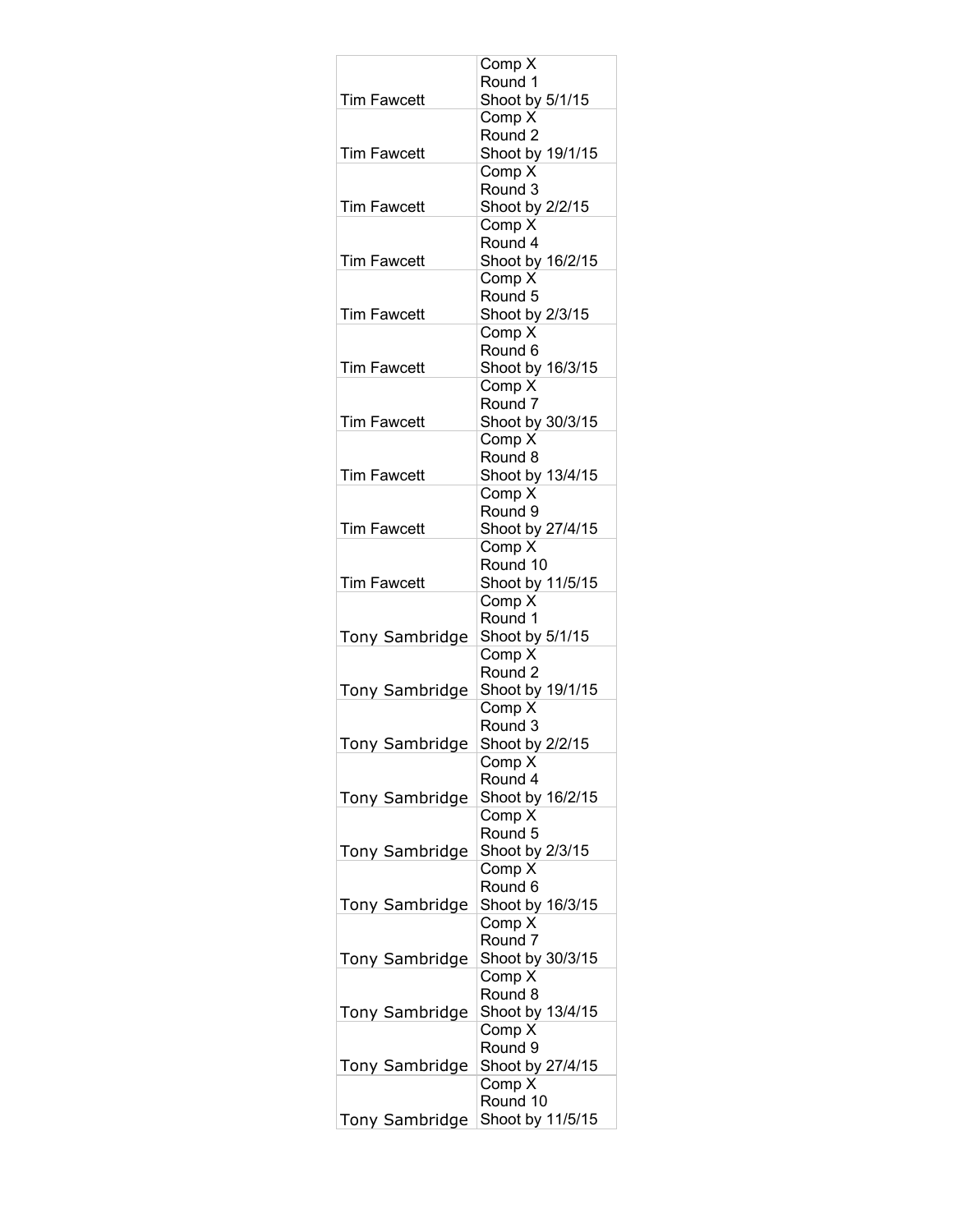|                       | Comp X                     |
|-----------------------|----------------------------|
|                       | Round 1                    |
| <b>Tim Fawcett</b>    | Shoot by 5/1/15<br>Comp X  |
|                       | Round <sub>2</sub>         |
| <b>Tim Fawcett</b>    | Shoot by 19/1/15           |
|                       | Comp X                     |
|                       | Round 3                    |
| <b>Tim Fawcett</b>    | Shoot by 2/2/15            |
|                       | Comp X                     |
|                       | Round 4                    |
| <b>Tim Fawcett</b>    | Shoot by 16/2/15<br>Comp X |
|                       | Round 5                    |
| <b>Tim Fawcett</b>    | Shoot by 2/3/15            |
|                       | Comp X                     |
|                       | Round 6                    |
| <b>Tim Fawcett</b>    | Shoot by 16/3/15           |
|                       | Comp X                     |
|                       | Round <sub>7</sub>         |
| <b>Tim Fawcett</b>    | Shoot by 30/3/15<br>Comp X |
|                       | Round 8                    |
| <b>Tim Fawcett</b>    | Shoot by 13/4/15           |
|                       | Comp X                     |
|                       | Round 9                    |
| <b>Tim Fawcett</b>    | Shoot by 27/4/15           |
|                       | Comp X                     |
|                       | Round 10                   |
| <b>Tim Fawcett</b>    | Shoot by 11/5/15<br>Comp X |
|                       | Round 1                    |
| <b>Tony Sambridge</b> | Shoot by 5/1/15            |
|                       | Comp X                     |
|                       | Round <sub>2</sub>         |
| <b>Tony Sambridge</b> | Shoot by 19/1/15           |
|                       | Comp X                     |
|                       | Round 3                    |
| Tony Sambridge        | Shoot by 2/2/15<br>Comp X  |
|                       | Round 4                    |
| <b>Tony Sambridge</b> | Shoot by 16/2/15           |
|                       | Comp X                     |
|                       | Round 5                    |
| <b>Tony Sambridge</b> | Shoot by 2/3/15            |
|                       | Comp X                     |
|                       | Round <sub>6</sub>         |
| Tony Sambridge        | Shoot by 16/3/15<br>Comp X |
|                       | Round 7                    |
| <b>Tony Sambridge</b> | Shoot by 30/3/15           |
|                       | Comp X                     |
|                       | Round 8                    |
| <b>Tony Sambridge</b> | Shoot by 13/4/15           |
|                       | Comp $\overline{X}$        |
|                       | Round 9                    |
| Tony Sambridge        | Shoot by 27/4/15<br>Comp X |
|                       | Round 10                   |
| Tony Sambridge        | Shoot by 11/5/15           |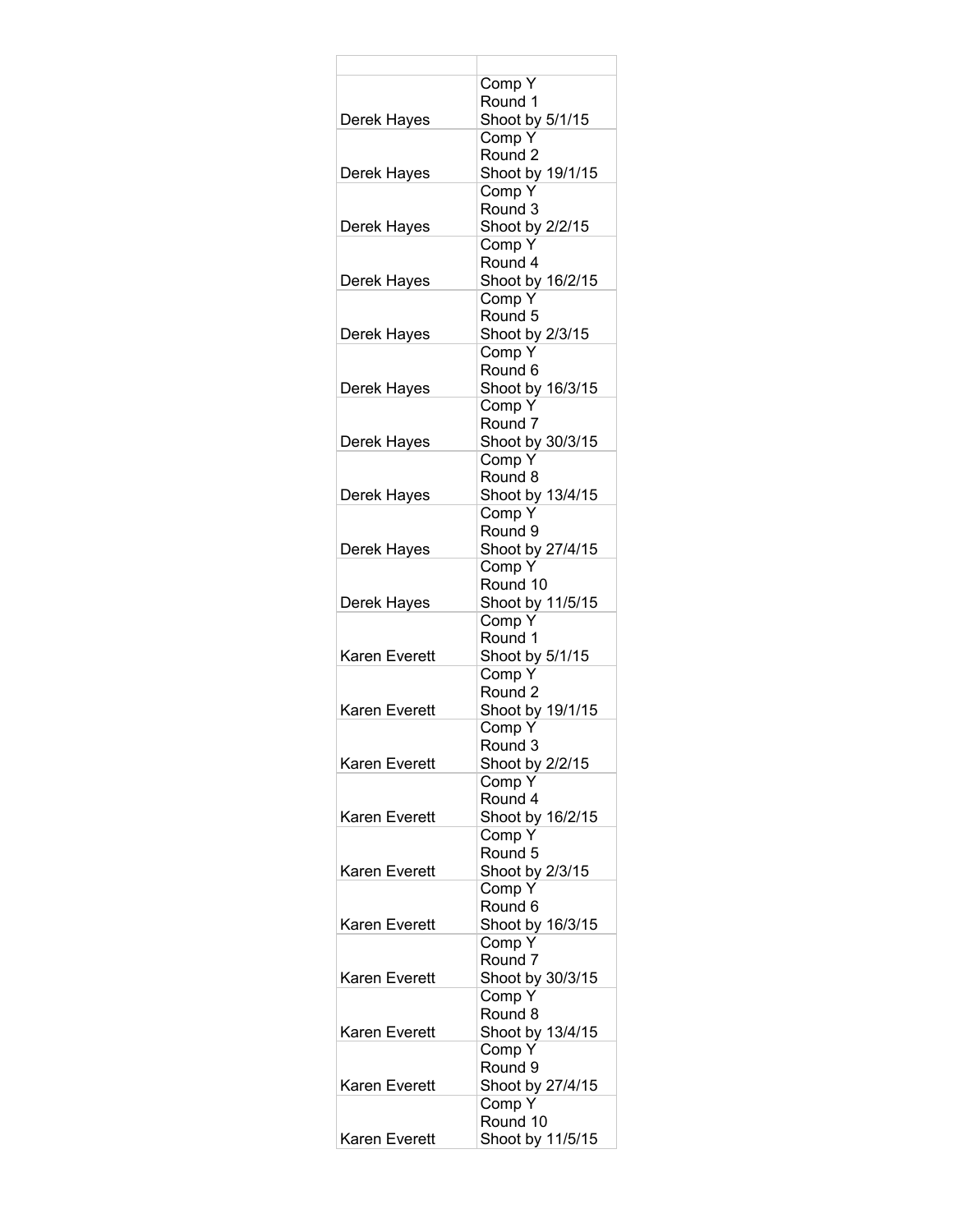|               | Comp Y                     |
|---------------|----------------------------|
|               | Round 1                    |
| Derek Hayes   | Shoot by 5/1/15<br>Comp Y  |
|               | Round <sub>2</sub>         |
| Derek Hayes   | Shoot by 19/1/15           |
|               | Comp Y                     |
|               | Round 3                    |
| Derek Hayes   | Shoot by 2/2/15            |
|               | Comp Y                     |
|               | Round 4                    |
| Derek Hayes   | Shoot by 16/2/15           |
|               | Comp Y                     |
|               | Round 5                    |
| Derek Hayes   | Shoot by 2/3/15            |
|               | Comp Y<br>Round 6          |
| Derek Hayes   | Shoot by 16/3/15           |
|               | Comp Y                     |
|               | Round <sub>7</sub>         |
| Derek Hayes   | Shoot by 30/3/15           |
|               | Comp Y                     |
|               | Round 8                    |
| Derek Hayes   | Shoot by 13/4/15           |
|               | Comp Y                     |
|               | Round 9                    |
| Derek Hayes   | Shoot by 27/4/15           |
|               | Comp Y                     |
|               | Round 10                   |
| Derek Hayes   | Shoot by 11/5/15<br>Comp Y |
|               | Round 1                    |
| Karen Everett | Shoot by 5/1/15            |
|               | Comp Y                     |
|               | Round 2                    |
| Karen Everett | Shoot by 19/1/15           |
|               | Comp Y                     |
|               | Round 3                    |
| Karen Everett | Shoot by 2/2/15            |
|               | Comp Y                     |
|               | Round 4                    |
| Karen Everett | Shoot by 16/2/15<br>Comp Y |
|               | Round 5                    |
| Karen Everett | Shoot by 2/3/15            |
|               | Comp Y                     |
|               | Round 6                    |
| Karen Everett | Shoot by 16/3/15           |
|               | Comp Y                     |
|               | Round 7                    |
| Karen Everett | Shoot by 30/3/15           |
|               | Comp Y                     |
|               | Round 8                    |
| Karen Everett | Shoot by 13/4/15           |
|               | Comp Y<br>Round 9          |
| Karen Everett | Shoot by 27/4/15           |
|               | Comp Y                     |
|               | Round 10                   |
| Karen Everett | Shoot by 11/5/15           |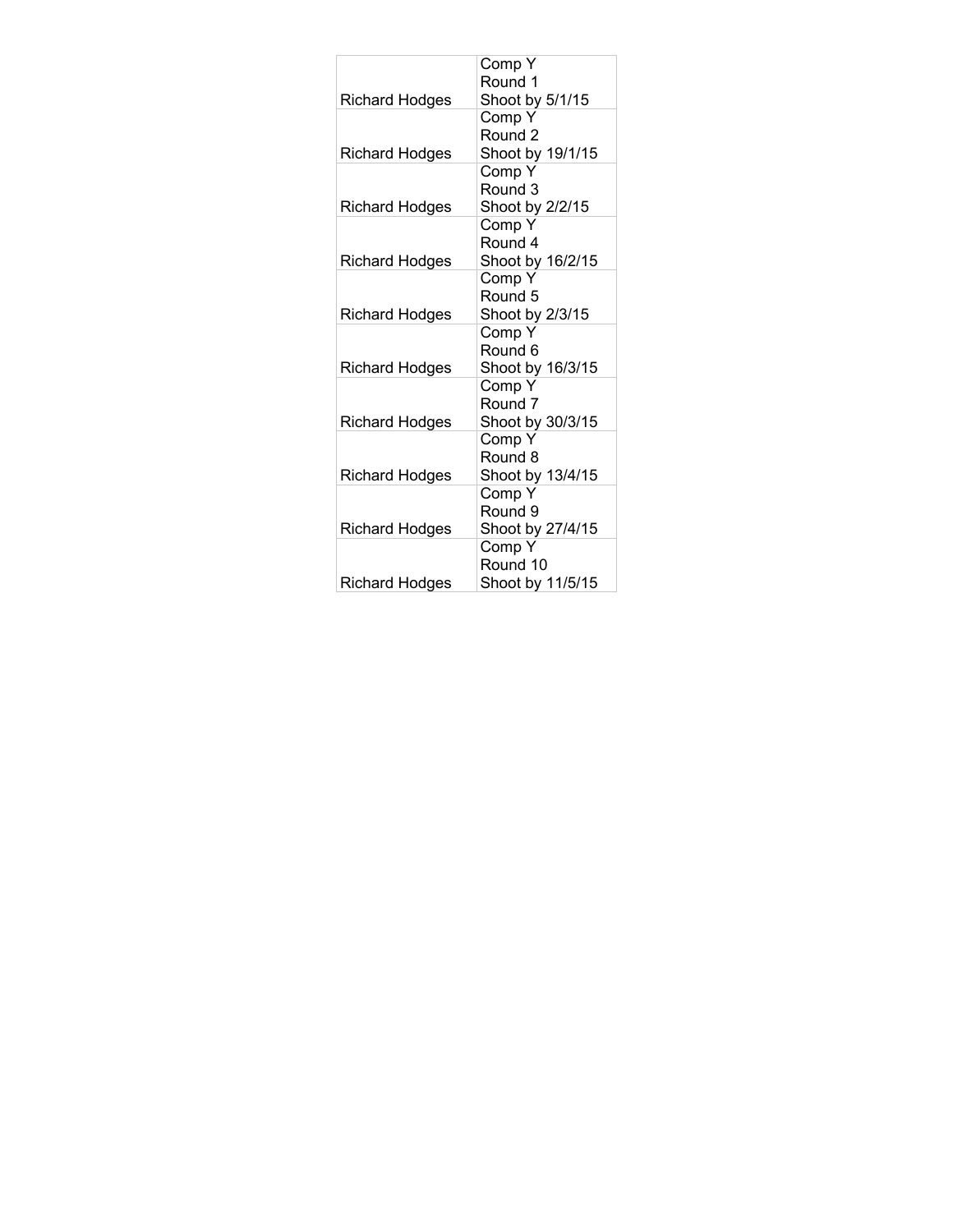|                       | Comp Y             |
|-----------------------|--------------------|
|                       | Round 1            |
| <b>Richard Hodges</b> | Shoot by 5/1/15    |
|                       | Comp Y             |
|                       | Round 2            |
| <b>Richard Hodges</b> | Shoot by 19/1/15   |
|                       | Comp Y             |
|                       | Round 3            |
| <b>Richard Hodges</b> | Shoot by 2/2/15    |
|                       | Comp Y             |
|                       | Round 4            |
| <b>Richard Hodges</b> | Shoot by 16/2/15   |
|                       | Comp Y             |
|                       | Round 5            |
| <b>Richard Hodges</b> | Shoot by 2/3/15    |
|                       | Comp Y             |
|                       | Round 6            |
| <b>Richard Hodges</b> | Shoot by 16/3/15   |
|                       | Comp Y             |
|                       | Round <sub>7</sub> |
| <b>Richard Hodges</b> | Shoot by 30/3/15   |
|                       | Comp Y             |
|                       | Round 8            |
| <b>Richard Hodges</b> | Shoot by 13/4/15   |
|                       | Comp Y             |
|                       | Round 9            |
| <b>Richard Hodges</b> | Shoot by 27/4/15   |
|                       | Comp Y             |
|                       | Round 10           |
| <b>Richard Hodges</b> | Shoot by 11/5/15   |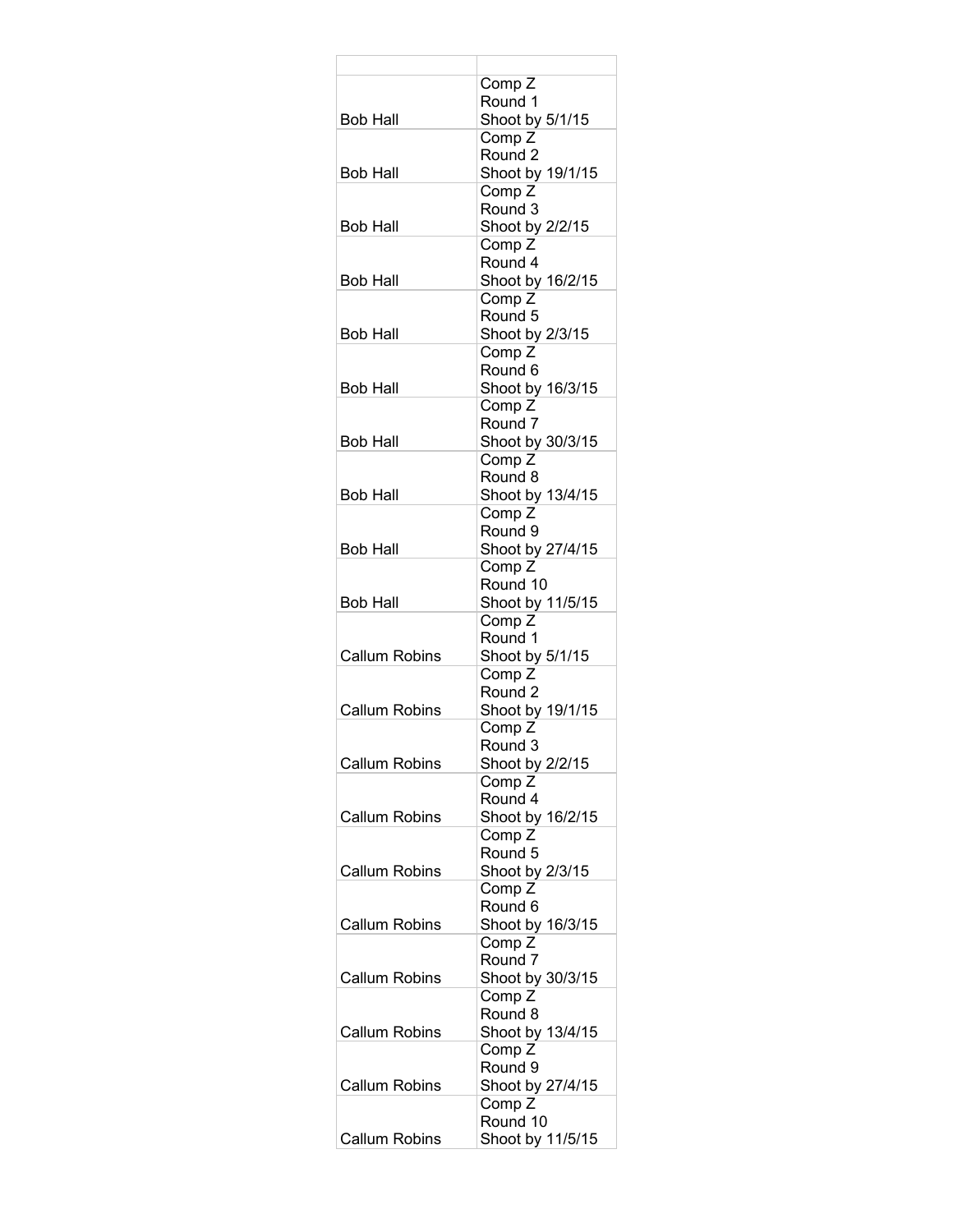| Comp <sub>Z</sub>                     |
|---------------------------------------|
| Round 1                               |
| Shoot by 5/1/15                       |
| Comp <sub>Z</sub>                     |
| Round 2                               |
| Shoot by 19/1/15                      |
| Comp <sub>Z</sub>                     |
| Round 3                               |
| Shoot by 2/2/15                       |
| Comp <sub>Z</sub><br>Round 4          |
|                                       |
| Shoot by 16/2/15<br>Comp <sub>Z</sub> |
| Round 5                               |
| Shoot by 2/3/15                       |
| Comp <sub>Z</sub>                     |
| Round 6                               |
| Shoot by 16/3/15                      |
| Comp Z                                |
| Round <sub>7</sub>                    |
| Shoot by 30/3/15                      |
| Comp <sub>Z</sub>                     |
| Round 8                               |
| Shoot by 13/4/15                      |
| Comp <sub>Z</sub>                     |
| Round <sub>9</sub>                    |
| Shoot by 27/4/15                      |
| Comp <sub>Z</sub>                     |
| Round 10                              |
| Shoot by 11/5/15                      |
| Comp <sub>Z</sub>                     |
| Round 1                               |
| Shoot by 5/1/15                       |
| Comp <sub>Z</sub>                     |
| Round <sub>2</sub>                    |
| Shoot by 19/1/15                      |
| Comp <sub>Z</sub>                     |
| Round 3                               |
| Shoot by 2/2/15                       |
| Comp <sub>Z</sub>                     |
| Round 4                               |
| Shoot by 16/2/15                      |
| Comp <sub>Z</sub>                     |
| Round 5                               |
| Shoot by 2/3/15<br>Comp <sub>Z</sub>  |
| Round 6                               |
| Shoot by 16/3/15                      |
| Comp Z                                |
| Round <sub>7</sub>                    |
| Shoot by 30/3/15                      |
| Comp Z                                |
| Round 8                               |
| Shoot by 13/4/15                      |
| Comp Z                                |
| Round 9                               |
| Shoot by 27/4/15                      |
| Comp Z                                |
| Round 10                              |
| Shoot by 11/5/15                      |
|                                       |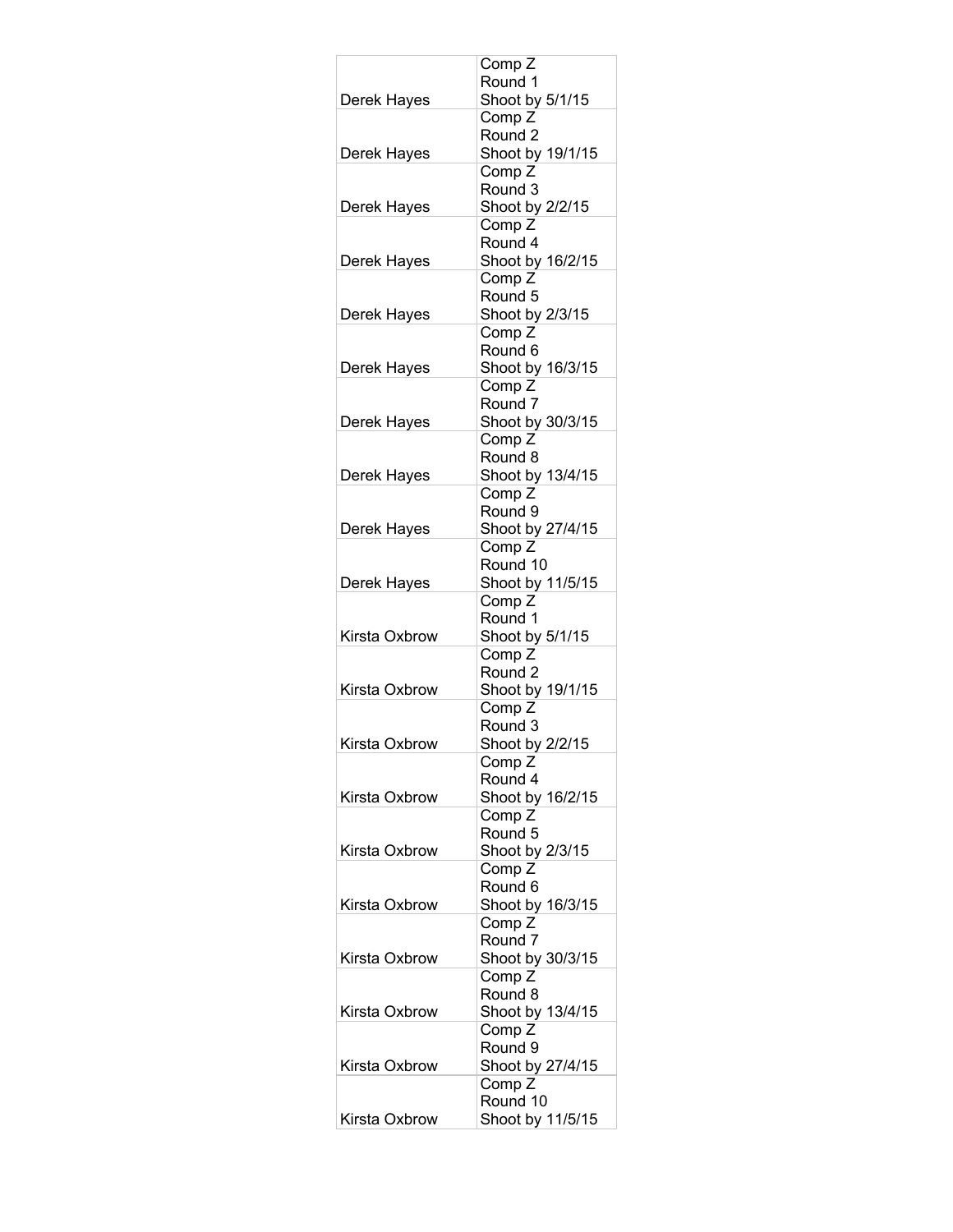|               | Comp <sub>Z</sub>                       |
|---------------|-----------------------------------------|
|               | Round 1                                 |
| Derek Hayes   | Shoot by 5/1/15                         |
|               | Comp <sub>Z</sub><br>Round <sub>2</sub> |
| Derek Hayes   | Shoot by 19/1/15                        |
|               | Comp Z                                  |
|               | Round 3                                 |
| Derek Hayes   | Shoot by 2/2/15                         |
|               | Comp <sub>Z</sub>                       |
|               | Round 4                                 |
| Derek Hayes   | Shoot by 16/2/15                        |
|               | Comp <sub>Z</sub><br>Round 5            |
| Derek Hayes   | Shoot by 2/3/15                         |
|               | Comp <sub>Z</sub>                       |
|               | Round <sub>6</sub>                      |
| Derek Hayes   | Shoot by 16/3/15                        |
|               | Comp Z                                  |
|               | Round <sub>7</sub>                      |
| Derek Hayes   | Shoot by 30/3/15<br>Comp <sub>Z</sub>   |
|               | Round 8                                 |
| Derek Hayes   | Shoot by 13/4/15                        |
|               | Comp <sub>Z</sub>                       |
|               | Round 9                                 |
| Derek Hayes   | Shoot by 27/4/15                        |
|               | Comp <sub>Z</sub>                       |
|               | Round 10                                |
| Derek Hayes   | Shoot by 11/5/15<br>Comp <sub>Z</sub>   |
|               | Round 1                                 |
| Kirsta Oxbrow | Shoot by 5/1/15                         |
|               | Comp <sub>Z</sub>                       |
|               | Round 2                                 |
| Kirsta Oxbrow | Shoot by 19/1/15                        |
|               | Comp <sub>Z</sub>                       |
| Kirsta Oxbrow | Round 3<br>Shoot by 2/2/15              |
|               | Comp Z                                  |
|               | Round 4                                 |
| Kirsta Oxbrow | Shoot by 16/2/15                        |
|               | Comp <sub>Z</sub>                       |
|               | Round 5                                 |
| Kirsta Oxbrow | Shoot by 2/3/15                         |
|               | Comp <sub>Z</sub><br>Round 6            |
| Kirsta Oxbrow | Shoot by 16/3/15                        |
|               | Comp <sub>Z</sub>                       |
|               | Round <sub>7</sub>                      |
| Kirsta Oxbrow | Shoot by 30/3/15                        |
|               | Comp <sub>Z</sub>                       |
|               | Round 8                                 |
| Kirsta Oxbrow | Shoot by 13/4/15                        |
|               | Comp Z<br>Round 9                       |
| Kirsta Oxbrow | Shoot by 27/4/15                        |
|               | Comp Z                                  |
|               | Round 10                                |
| Kirsta Oxbrow | Shoot by 11/5/15                        |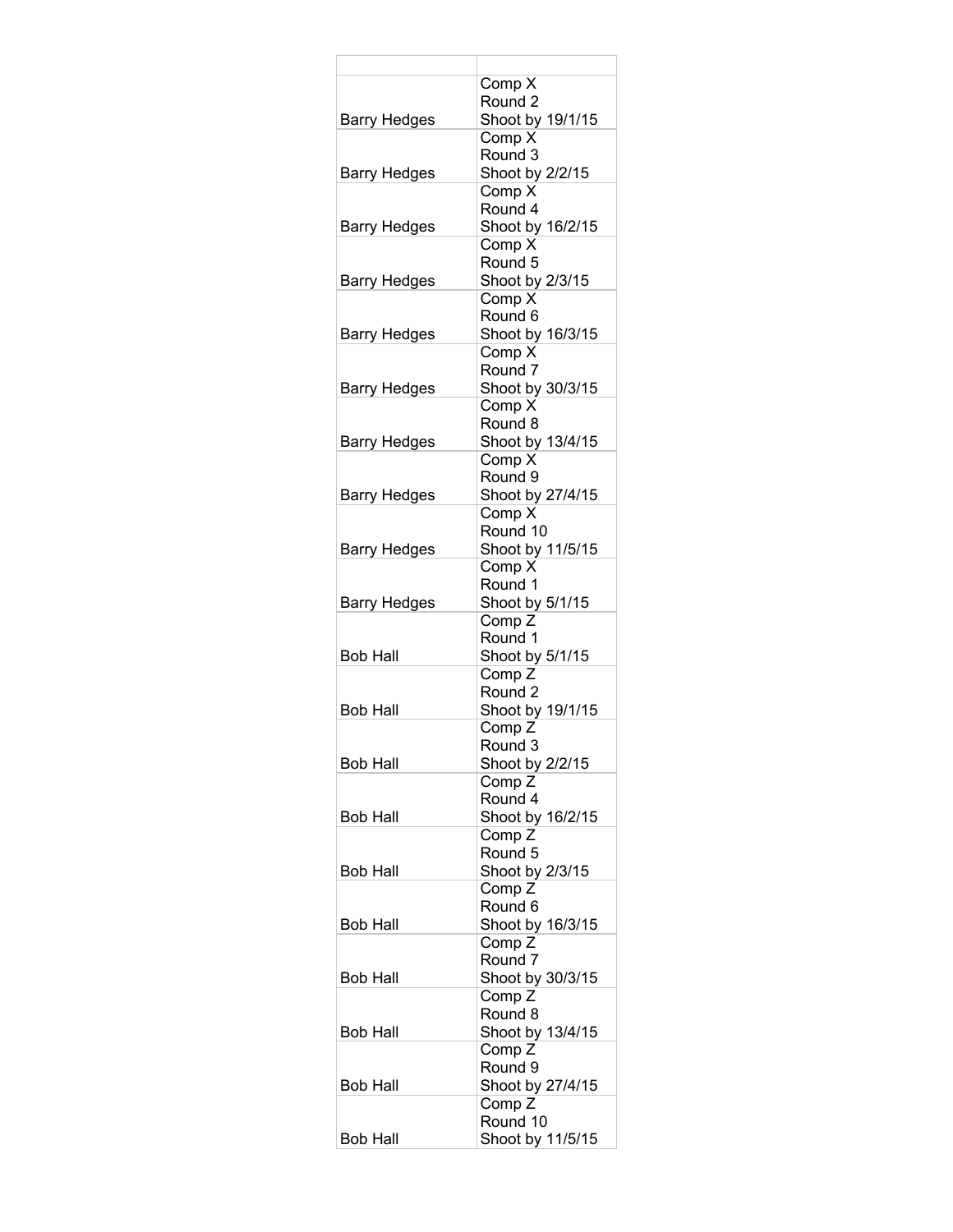|                     | Comp X                               |
|---------------------|--------------------------------------|
|                     | Round <sub>2</sub>                   |
| <b>Barry Hedges</b> | Shoot by 19/1/15<br>Comp X           |
|                     | Round 3                              |
| <b>Barry Hedges</b> | Shoot by 2/2/15                      |
|                     | Comp X                               |
|                     | Round 4                              |
| Barry Hedges        | Shoot by 16/2/15                     |
|                     | Comp X                               |
|                     | Round 5                              |
| Barry Hedges        | Shoot by 2/3/15                      |
|                     | Comp X<br>Round <sub>6</sub>         |
| <b>Barry Hedges</b> | Shoot by 16/3/15                     |
|                     | Comp X                               |
|                     | Round <sub>7</sub>                   |
| <b>Barry Hedges</b> | Shoot by 30/3/15                     |
|                     | Comp X                               |
|                     | Round 8                              |
| <b>Barry Hedges</b> | Shoot by 13/4/15                     |
|                     | Comp X                               |
|                     | Round 9<br>Shoot by 27/4/15          |
| <b>Barry Hedges</b> | Comp X                               |
|                     | Round 10                             |
| <b>Barry Hedges</b> | Shoot by 11/5/15                     |
|                     | Comp X                               |
|                     | Round 1                              |
| <b>Barry Hedges</b> | Shoot by 5/1/15                      |
|                     | Comp <sub>Z</sub>                    |
|                     | Round 1                              |
| <b>Bob Hall</b>     | Shoot by 5/1/15<br>Comp <sub>Z</sub> |
|                     | Round <sub>2</sub>                   |
| <b>Bob Hall</b>     | Shoot by 19/1/15                     |
|                     | Comp <sub>Z</sub>                    |
|                     | Round 3                              |
| <b>Bob Hall</b>     | Shoot by 2/2/15                      |
|                     | Comp <sub>Z</sub>                    |
|                     | Round 4                              |
| <b>Bob Hall</b>     | Shoot by 16/2/15<br>Comp Z           |
|                     | Round 5                              |
| <b>Bob Hall</b>     | Shoot by 2/3/15                      |
|                     | Comp <sub>Z</sub>                    |
|                     | Round <sub>6</sub>                   |
| Bob Hall            | Shoot by 16/3/15                     |
|                     | Comp <sub>Z</sub>                    |
|                     | Round 7                              |
| Bob Hall            | Shoot by 30/3/15<br>Comp Z           |
|                     | Round 8                              |
| Bob Hall            | Shoot by 13/4/15                     |
|                     | Comp Z                               |
|                     | Round 9                              |
| Bob Hall            | Shoot by 27/4/15                     |
|                     | Comp <sub>Z</sub>                    |
|                     | Round 10                             |
| <b>Bob Hall</b>     | Shoot by 11/5/15                     |